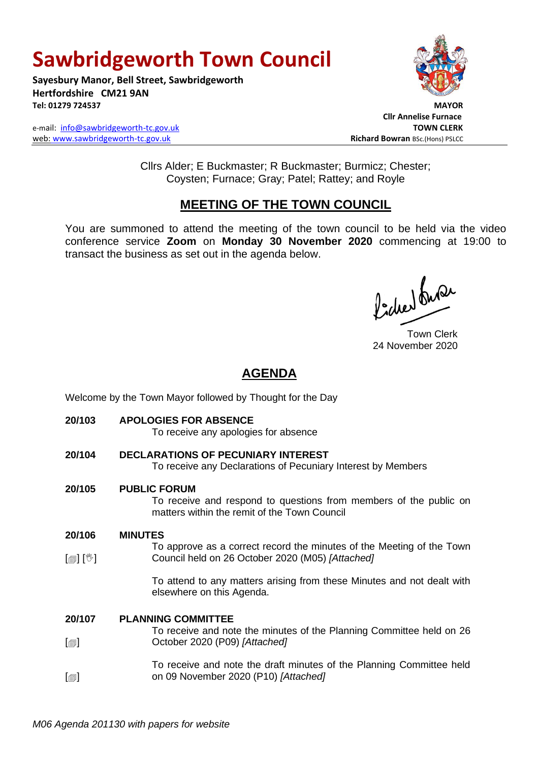# **Sawbridgeworth Town Council**

**Sayesbury Manor, Bell Street, Sawbridgeworth Hertfordshire CM21 9AN Tel: 01279 724537 MAYOR**

e-mail: [info@sawbridgeworth-tc.gov.uk](mailto:info@sawbridgeworth-tc.gov.uk) **TOWN CLERK** web: www.sawbridgeworth-tc.gov.uk<br>
Richard Bowran BSc.(Hons) PSLCC



 **Cllr Annelise Furnace**

Cllrs Alder; E Buckmaster; R Buckmaster; Burmicz; Chester; Coysten; Furnace; Gray; Patel; Rattey; and Royle

# **MEETING OF THE TOWN COUNCIL**

You are summoned to attend the meeting of the town council to be held via the video conference service **Zoom** on **Monday 30 November 2020** commencing at 19:00 to transact the business as set out in the agenda below.

ladres buse

Town Clerk 24 November 2020

# **AGENDA**

Welcome by the Town Mayor followed by Thought for the Day **20/103 APOLOGIES FOR ABSENCE** To receive any apologies for absence

**20/104 DECLARATIONS OF PECUNIARY INTEREST** To receive any Declarations of Pecuniary Interest by Members

### **20/105 PUBLIC FORUM**

To receive and respond to questions from members of the public on matters within the remit of the Town Council

#### **20/106 MINUTES**

 $\lceil \blacksquare \rceil$   $\lceil \sqrt[6]{} \rceil$ To approve as a correct record the minutes of the Meeting of the Town Council held on 26 October 2020 (M05) *[Attached]*

> To attend to any matters arising from these Minutes and not dealt with elsewhere on this Agenda.

#### **20/107 PLANNING COMMITTEE**

- $\blacksquare$ To receive and note the minutes of the Planning Committee held on 26 October 2020 (P09) *[Attached]*
- $\lceil$  $\blacksquare$ To receive and note the draft minutes of the Planning Committee held on 09 November 2020 (P10) *[Attached]*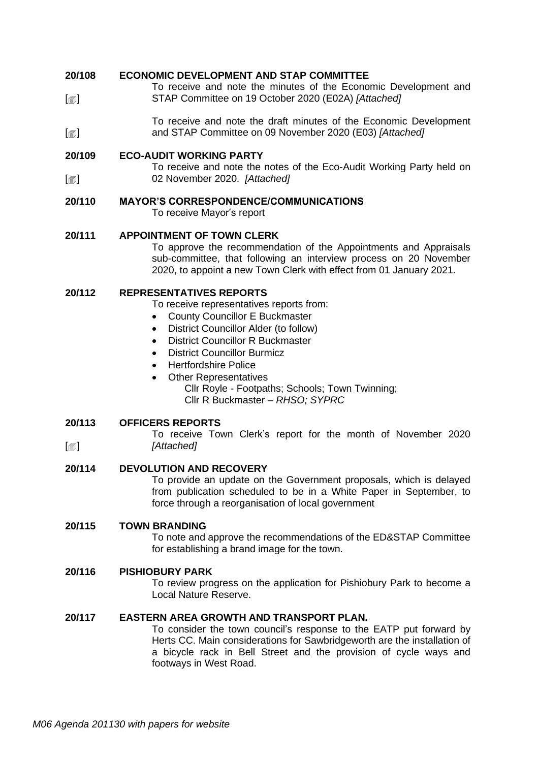#### **20/108 ECONOMIC DEVELOPMENT AND STAP COMMITTEE**

 $\lceil$  $\blacksquare$ To receive and note the minutes of the Economic Development and STAP Committee on 19 October 2020 (E02A) *[Attached]*

 $[\blacksquare]$ To receive and note the draft minutes of the Economic Development and STAP Committee on 09 November 2020 (E03) *[Attached]*

#### **20/109 ECO-AUDIT WORKING PARTY**

 $\lceil$  $\blacksquare$ To receive and note the notes of the Eco-Audit Working Party held on 02 November 2020. *[Attached]*

#### **20/110 MAYOR'S CORRESPONDENCE/COMMUNICATIONS**

To receive Mayor's report

#### **20/111 APPOINTMENT OF TOWN CLERK**

To approve the recommendation of the Appointments and Appraisals sub-committee, that following an interview process on 20 November 2020, to appoint a new Town Clerk with effect from 01 January 2021.

#### **20/112 REPRESENTATIVES REPORTS**

To receive representatives reports from:

- County Councillor E Buckmaster
- District Councillor Alder (to follow)
- District Councillor R Buckmaster
- District Councillor Burmicz
- Hertfordshire Police
- Other Representatives Cllr Royle - Footpaths; Schools; Town Twinning;

Cllr R Buckmaster *– RHSO; SYPRC*

#### **20/113 OFFICERS REPORTS**

 $\lceil$  $\blacksquare$ 

To receive Town Clerk's report for the month of November 2020 *[Attached]*

#### **20/114 DEVOLUTION AND RECOVERY**

To provide an update on the Government proposals, which is delayed from publication scheduled to be in a White Paper in September, to force through a reorganisation of local government

#### **20/115 TOWN BRANDING**

To note and approve the recommendations of the ED&STAP Committee for establishing a brand image for the town.

#### **20/116 PISHIOBURY PARK**

To review progress on the application for Pishiobury Park to become a Local Nature Reserve.

#### **20/117 EASTERN AREA GROWTH AND TRANSPORT PLAN.**

To consider the town council's response to the EATP put forward by Herts CC. Main considerations for Sawbridgeworth are the installation of a bicycle rack in Bell Street and the provision of cycle ways and footways in West Road.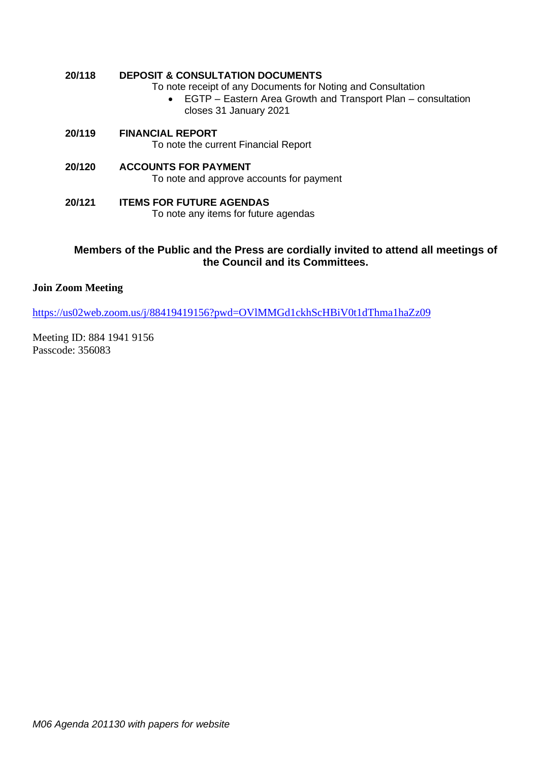### **20/118 DEPOSIT & CONSULTATION DOCUMENTS**

To note receipt of any Documents for Noting and Consultation

- EGTP Eastern Area Growth and Transport Plan consultation closes 31 January 2021
- **20/119 FINANCIAL REPORT** To note the current Financial Report
- **20/120 ACCOUNTS FOR PAYMENT** To note and approve accounts for payment
- **20/121 ITEMS FOR FUTURE AGENDAS** To note any items for future agendas

### **Members of the Public and the Press are cordially invited to attend all meetings of the Council and its Committees.**

### **Join Zoom Meeting**

<https://us02web.zoom.us/j/88419419156?pwd=OVlMMGd1ckhScHBiV0t1dThma1haZz09>

Meeting ID: 884 1941 9156 Passcode: 356083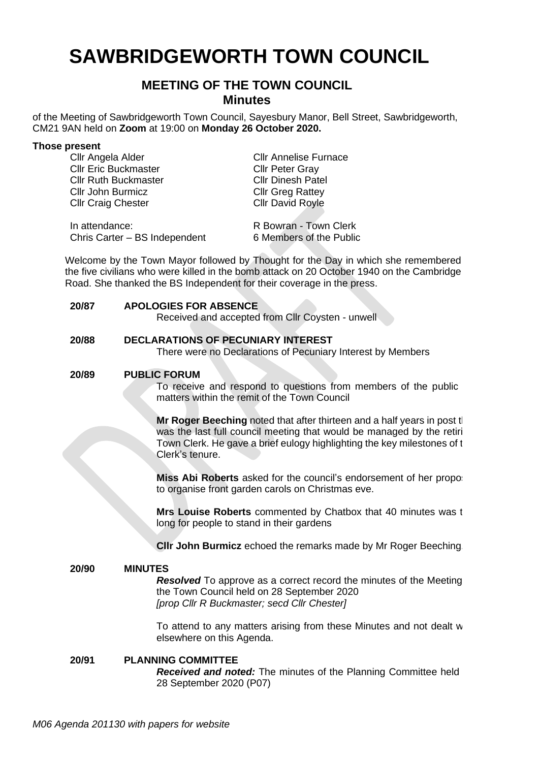# **SAWBRIDGEWORTH TOWN COUNCIL**

# **MEETING OF THE TOWN COUNCIL Minutes**

of the Meeting of Sawbridgeworth Town Council, Sayesbury Manor, Bell Street, Sawbridgeworth, CM21 9AN held on **Zoom** at 19:00 on **Monday 26 October 2020.**

| Those present                 |                              |
|-------------------------------|------------------------------|
| Cllr Angela Alder             | <b>CIIr Annelise Furnace</b> |
| <b>Cllr Eric Buckmaster</b>   | <b>Cllr Peter Gray</b>       |
| <b>Cllr Ruth Buckmaster</b>   | <b>Cllr Dinesh Patel</b>     |
| <b>Cllr John Burmicz</b>      | <b>Cllr Greg Rattey</b>      |
| <b>Cllr Craig Chester</b>     | <b>Cllr David Royle</b>      |
|                               |                              |
| In attendance:                | R Bowran - Town Clerk        |
| Chris Carter - BS Independent | 6 Members of the Public      |

Welcome by the Town Mayor followed by Thought for the Day in which she remembered the five civilians who were killed in the bomb attack on 20 October 1940 on the Cambridge Road. She thanked the BS Independent for their coverage in the press.

#### **20/87 APOLOGIES FOR ABSENCE**

Received and accepted from Cllr Coysten - unwell

#### **20/88 DECLARATIONS OF PECUNIARY INTEREST**

There were no Declarations of Pecuniary Interest by Members

#### **20/89 PUBLIC FORUM**

To receive and respond to questions from members of the public matters within the remit of the Town Council

**Mr Roger Beeching** noted that after thirteen and a half years in post the was the last full council meeting that would be managed by the retiring Town Clerk. He gave a brief eulogy highlighting the key milestones of the Clerk's tenure.

**Miss Abi Roberts** asked for the council's endorsement of her propose to organise front garden carols on Christmas eve.

**Mrs Louise Roberts** commented by Chatbox that 40 minutes was to long for people to stand in their gardens

**Cllr John Burmicz** echoed the remarks made by Mr Roger Beeching.

# **20/90 MINUTES**

**Resolved** To approve as a correct record the minutes of the Meeting the Town Council held on 28 September 2020 *[prop Cllr R Buckmaster; secd Cllr Chester]*

To attend to any matters arising from these Minutes and not dealt w elsewhere on this Agenda.

#### **20/91 PLANNING COMMITTEE** *Received and noted:* The minutes of the Planning Committee held 28 September 2020 (P07)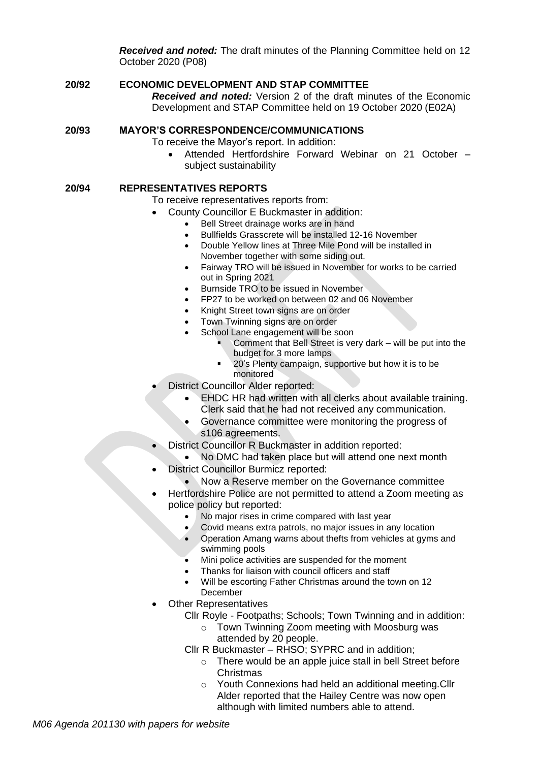*Received and noted:* The draft minutes of the Planning Committee held on 12 October 2020 (P08)

### **20/92 ECONOMIC DEVELOPMENT AND STAP COMMITTEE** *Received and noted:* Version 2 of the draft minutes of the Economic Development and STAP Committee held on 19 October 2020 (E02A)

#### **20/93 MAYOR'S CORRESPONDENCE/COMMUNICATIONS**

To receive the Mayor's report. In addition:

• Attended Hertfordshire Forward Webinar on 21 October – subject sustainability

#### **20/94 REPRESENTATIVES REPORTS**

To receive representatives reports from:

- County Councillor E Buckmaster in addition:
	- Bell Street drainage works are in hand
	- Bullfields Grasscrete will be installed 12-16 November
	- Double Yellow lines at Three Mile Pond will be installed in November together with some siding out.
	- Fairway TRO will be issued in November for works to be carried out in Spring 2021
	- Burnside TRO to be issued in November
	- FP27 to be worked on between 02 and 06 November
	- Knight Street town signs are on order
	- Town Twinning signs are on order
	- School Lane engagement will be soon
		- Comment that Bell Street is very dark will be put into the budget for 3 more lamps
		- 20's Plenty campaign, supportive but how it is to be monitored
- District Councillor Alder reported:
	- EHDC HR had written with all clerks about available training. Clerk said that he had not received any communication.
	- Governance committee were monitoring the progress of s106 agreements.
- District Councillor R Buckmaster in addition reported:
	- No DMC had taken place but will attend one next month
- District Councillor Burmicz reported:
	- Now a Reserve member on the Governance committee
- Hertfordshire Police are not permitted to attend a Zoom meeting as police policy but reported:
	- No major rises in crime compared with last year
	- Covid means extra patrols, no major issues in any location
	- Operation Amang warns about thefts from vehicles at gyms and swimming pools
	- Mini police activities are suspended for the moment
	- Thanks for liaison with council officers and staff
	- Will be escorting Father Christmas around the town on 12 December
- **Other Representatives** 
	- Cllr Royle Footpaths; Schools; Town Twinning and in addition:
		- o Town Twinning Zoom meeting with Moosburg was attended by 20 people.
	- Cllr R Buckmaster *–* RHSO; SYPRC and in addition;
		- o There would be an apple juice stall in bell Street before Christmas
		- o Youth Connexions had held an additional meeting.Cllr Alder reported that the Hailey Centre was now open although with limited numbers able to attend.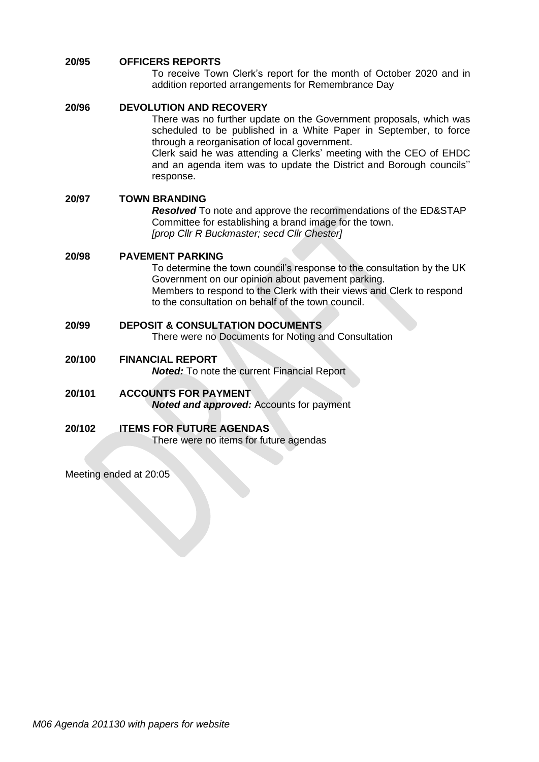#### **20/95 OFFICERS REPORTS**

To receive Town Clerk's report for the month of October 2020 and in addition reported arrangements for Remembrance Day

| 20/96  | <b>DEVOLUTION AND RECOVERY</b><br>There was no further update on the Government proposals, which was<br>scheduled to be published in a White Paper in September, to force<br>through a reorganisation of local government.<br>Clerk said he was attending a Clerks' meeting with the CEO of EHDC<br>and an agenda item was to update the District and Borough councils"<br>response. |  |  |
|--------|--------------------------------------------------------------------------------------------------------------------------------------------------------------------------------------------------------------------------------------------------------------------------------------------------------------------------------------------------------------------------------------|--|--|
| 20/97  | <b>TOWN BRANDING</b><br><b>Resolved</b> To note and approve the recommendations of the ED&STAP<br>Committee for establishing a brand image for the town.<br>[prop Cllr R Buckmaster; secd Cllr Chester]                                                                                                                                                                              |  |  |
| 20/98  | <b>PAVEMENT PARKING</b><br>To determine the town council's response to the consultation by the UK<br>Government on our opinion about pavement parking.<br>Members to respond to the Clerk with their views and Clerk to respond<br>to the consultation on behalf of the town council.                                                                                                |  |  |
| 20/99  | <b>DEPOSIT &amp; CONSULTATION DOCUMENTS</b><br>There were no Documents for Noting and Consultation                                                                                                                                                                                                                                                                                   |  |  |
| 20/100 | <b>FINANCIAL REPORT</b><br><b>Noted:</b> To note the current Financial Report                                                                                                                                                                                                                                                                                                        |  |  |
| 20/101 | <b>ACCOUNTS FOR PAYMENT</b><br><b>Noted and approved:</b> Accounts for payment                                                                                                                                                                                                                                                                                                       |  |  |
| 20/102 | <b>ITEMS FOR FUTURE AGENDAS</b><br>There were no items for future agendas                                                                                                                                                                                                                                                                                                            |  |  |

Meeting ended at 20:05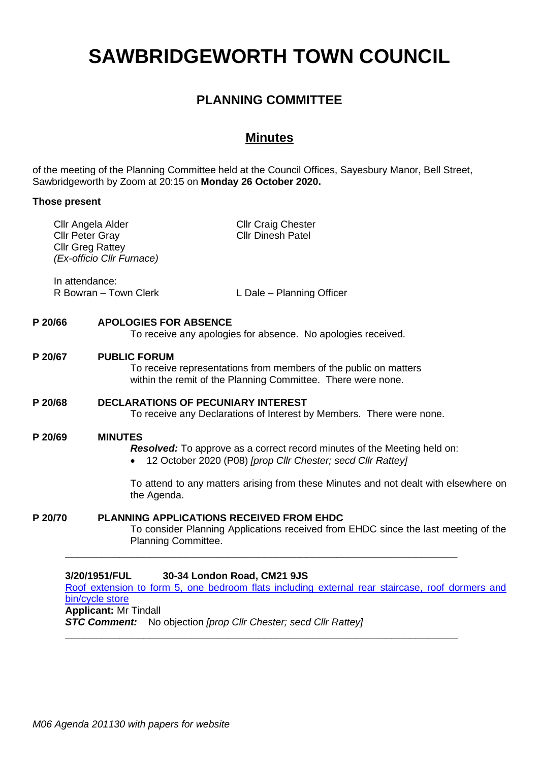# **SAWBRIDGEWORTH TOWN COUNCIL**

# **PLANNING COMMITTEE**

# **Minutes**

of the meeting of the Planning Committee held at the Council Offices, Sayesbury Manor, Bell Street, Sawbridgeworth by Zoom at 20:15 on **Monday 26 October 2020.**

#### **Those present**

| R Bowran - Town Clerk<br>L Dale - Planning Officer<br><b>APOLOGIES FOR ABSENCE</b><br>To receive any apologies for absence. No apologies received.<br><b>PUBLIC FORUM</b><br>To receive representations from members of the public on matters<br>within the remit of the Planning Committee. There were none.<br><b>DECLARATIONS OF PECUNIARY INTEREST</b><br>To receive any Declarations of Interest by Members. There were none. |  |
|------------------------------------------------------------------------------------------------------------------------------------------------------------------------------------------------------------------------------------------------------------------------------------------------------------------------------------------------------------------------------------------------------------------------------------|--|
|                                                                                                                                                                                                                                                                                                                                                                                                                                    |  |
|                                                                                                                                                                                                                                                                                                                                                                                                                                    |  |
|                                                                                                                                                                                                                                                                                                                                                                                                                                    |  |
|                                                                                                                                                                                                                                                                                                                                                                                                                                    |  |
| <b>MINUTES</b><br><b>Resolved:</b> To approve as a correct record minutes of the Meeting held on:<br>12 October 2020 (P08) [prop Cllr Chester; secd Cllr Rattey]                                                                                                                                                                                                                                                                   |  |
| To attend to any matters arising from these Minutes and not dealt with elsewhere on<br>the Agenda.                                                                                                                                                                                                                                                                                                                                 |  |
| <b>PLANNING APPLICATIONS RECEIVED FROM EHDC</b><br>To consider Planning Applications received from EHDC since the last meeting of the<br>Planning Committee.                                                                                                                                                                                                                                                                       |  |
| 3/20/1951/FUL<br>Roof extension to form 5, one bedroom flats including external rear staircase, roof dormers and<br>bin/cycle store                                                                                                                                                                                                                                                                                                |  |

*STC Comment:* No objection *[prop Cllr Chester; secd Cllr Rattey]*

**\_\_\_\_\_\_\_\_\_\_\_\_\_\_\_\_\_\_\_\_\_\_\_\_\_\_\_\_\_\_\_\_\_\_\_\_\_\_\_\_\_\_\_\_\_\_\_\_\_\_\_\_\_\_\_\_\_\_\_\_\_\_\_\_\_**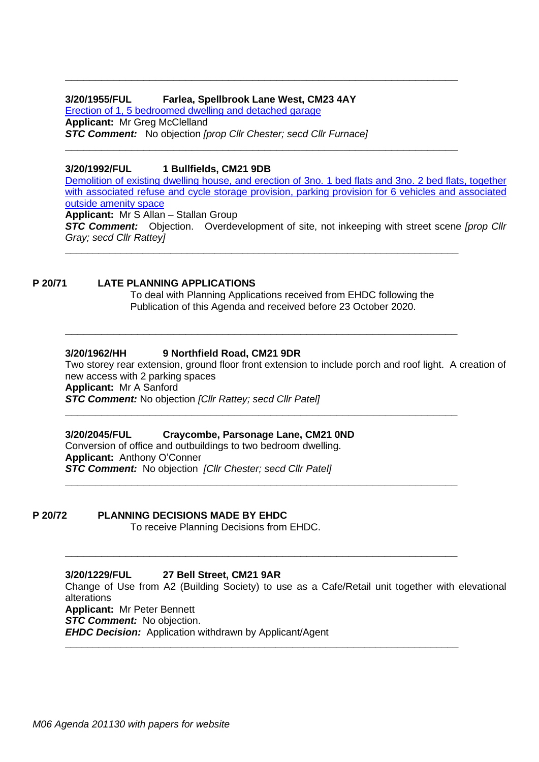#### **3/20/1955/FUL Farlea, Spellbrook Lane West, CM23 4AY**

[Erection of 1, 5 bedroomed dwelling and](https://publicaccess.eastherts.gov.uk/online-applications/applicationDetails.do?activeTab=documents&keyVal=QHW1VJGLIUZ00) detached garage **Applicant:** Mr Greg McClelland *STC Comment:* No objection *[prop Cllr Chester; secd Cllr Furnace]*

#### **3/20/1992/FUL 1 Bullfields, CM21 9DB**

[Demolition of existing dwelling house, and erection of 3no. 1 bed flats and 3no. 2 bed flats, together](https://publicaccess.eastherts.gov.uk/online-applications/applicationDetails.do?activeTab=documents&keyVal=QI6JZBGLIXN00)  with associated refuse and cycle storage provision, parking provision for 6 vehicles and associated [outside amenity](https://publicaccess.eastherts.gov.uk/online-applications/applicationDetails.do?activeTab=documents&keyVal=QI6JZBGLIXN00) space

**\_\_\_\_\_\_\_\_\_\_\_\_\_\_\_\_\_\_\_\_\_\_\_\_\_\_\_\_\_\_\_\_\_\_\_\_\_\_\_\_\_\_\_\_\_\_\_\_\_\_\_\_\_\_\_\_\_\_\_\_\_\_\_\_\_**

**\_\_\_\_\_\_\_\_\_\_\_\_\_\_\_\_\_\_\_\_\_\_\_\_\_\_\_\_\_\_\_\_\_\_\_\_\_\_\_\_\_\_\_\_\_\_\_\_\_\_\_\_\_\_\_\_\_\_\_\_\_\_\_\_\_**

**Applicant:** Mr S Allan – Stallan Group *STC Comment:* Objection. Overdevelopment of site, not inkeeping with street scene *[prop Cllr Gray; secd Cllr Rattey]* **\_\_\_\_\_\_\_\_\_\_\_\_\_\_\_\_\_\_\_\_\_\_\_\_\_\_\_\_\_\_\_\_\_\_\_\_\_\_\_\_\_\_\_\_\_\_\_\_\_\_\_\_\_\_\_\_\_\_\_\_\_\_\_\_\_\_\_\_\_\_\_**

#### **P 20/71 LATE PLANNING APPLICATIONS**

To deal with Planning Applications received from EHDC following the Publication of this Agenda and received before 23 October 2020.

**\_\_\_\_\_\_\_\_\_\_\_\_\_\_\_\_\_\_\_\_\_\_\_\_\_\_\_\_\_\_\_\_\_\_\_\_\_\_\_\_\_\_\_\_\_\_\_\_\_\_\_\_\_\_\_\_\_\_\_\_\_\_\_\_\_**

**\_\_\_\_\_\_\_\_\_\_\_\_\_\_\_\_\_\_\_\_\_\_\_\_\_\_\_\_\_\_\_\_\_\_\_\_\_\_\_\_\_\_\_\_\_\_\_\_\_\_\_\_\_\_\_\_\_\_\_\_\_\_\_\_\_**

**\_\_\_\_\_\_\_\_\_\_\_\_\_\_\_\_\_\_\_\_\_\_\_\_\_\_\_\_\_\_\_\_\_\_\_\_\_\_\_\_\_\_\_\_\_\_\_\_\_\_\_\_\_\_\_\_\_\_\_\_\_\_\_\_\_**

#### **3/20/1962/HH 9 Northfield Road, CM21 9DR**

Two storey rear extension, ground floor front extension to include porch and roof light. A creation of new access with 2 parking spaces **Applicant:** Mr A Sanford *STC Comment:* No objection *[Cllr Rattey; secd Cllr Patel]* **\_\_\_\_\_\_\_\_\_\_\_\_\_\_\_\_\_\_\_\_\_\_\_\_\_\_\_\_\_\_\_\_\_\_\_\_\_\_\_\_\_\_\_\_\_\_\_\_\_\_\_\_\_\_\_\_\_\_\_\_\_\_\_\_\_**

#### **3/20/2045/FUL Craycombe, Parsonage Lane, CM21 0ND**

Conversion of office and outbuildings to two bedroom dwelling. **Applicant:** Anthony O'Conner *STC Comment:* No objection *[Cllr Chester; secd Cllr Patel]*

**P 20/72 PLANNING DECISIONS MADE BY EHDC**

To receive Planning Decisions from EHDC.

**3/20/1229/FUL 27 Bell Street, CM21 9AR** Change of Use from A2 (Building Society) to use as a Cafe/Retail unit together with elevational alterations **Applicant:** Mr Peter Bennett *STC Comment:* No objection. *EHDC Decision:* Application withdrawn by Applicant/Agent **\_\_\_\_\_\_\_\_\_\_\_\_\_\_\_\_\_\_\_\_\_\_\_\_\_\_\_\_\_\_\_\_\_\_\_\_\_\_\_\_\_\_\_\_\_\_\_\_\_\_\_\_\_\_\_\_\_\_\_\_\_\_\_\_\_\_\_\_\_\_\_**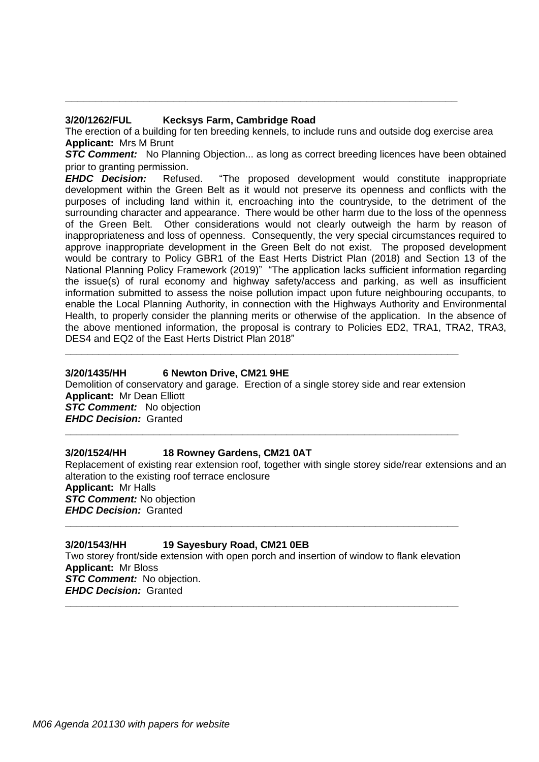#### **3/20/1262/FUL Kecksys Farm, Cambridge Road**

The erection of a building for ten breeding kennels, to include runs and outside dog exercise area **Applicant:** Mrs M Brunt

**\_\_\_\_\_\_\_\_\_\_\_\_\_\_\_\_\_\_\_\_\_\_\_\_\_\_\_\_\_\_\_\_\_\_\_\_\_\_\_\_\_\_\_\_\_\_\_\_\_\_\_\_\_\_\_\_\_\_\_\_\_\_\_\_\_**

**STC Comment:** No Planning Objection... as long as correct breeding licences have been obtained prior to granting permission.

*EHDC Decision:* Refused. "The proposed development would constitute inappropriate development within the Green Belt as it would not preserve its openness and conflicts with the purposes of including land within it, encroaching into the countryside, to the detriment of the surrounding character and appearance. There would be other harm due to the loss of the openness of the Green Belt. Other considerations would not clearly outweigh the harm by reason of inappropriateness and loss of openness. Consequently, the very special circumstances required to approve inappropriate development in the Green Belt do not exist. The proposed development would be contrary to Policy GBR1 of the East Herts District Plan (2018) and Section 13 of the National Planning Policy Framework (2019)" "The application lacks sufficient information regarding the issue(s) of rural economy and highway safety/access and parking, as well as insufficient information submitted to assess the noise pollution impact upon future neighbouring occupants, to enable the Local Planning Authority, in connection with the Highways Authority and Environmental Health, to properly consider the planning merits or otherwise of the application. In the absence of the above mentioned information, the proposal is contrary to Policies ED2, TRA1, TRA2, TRA3, DES4 and EQ2 of the East Herts District Plan 2018"

#### **3/20/1435/HH 6 Newton Drive, CM21 9HE**

Demolition of conservatory and garage. Erection of a single storey side and rear extension **Applicant:** Mr Dean Elliott **STC Comment:** No objection *EHDC Decision:* Granted **\_\_\_\_\_\_\_\_\_\_\_\_\_\_\_\_\_\_\_\_\_\_\_\_\_\_\_\_\_\_\_\_\_\_\_\_\_\_\_\_\_\_\_\_\_\_\_\_\_\_\_\_\_\_\_\_\_\_\_\_\_\_\_\_\_\_\_\_\_\_\_**

**\_\_\_\_\_\_\_\_\_\_\_\_\_\_\_\_\_\_\_\_\_\_\_\_\_\_\_\_\_\_\_\_\_\_\_\_\_\_\_\_\_\_\_\_\_\_\_\_\_\_\_\_\_\_\_\_\_\_\_\_\_\_\_\_\_\_\_\_\_\_\_**

#### **3/20/1524/HH 18 Rowney Gardens, CM21 0AT**

Replacement of existing rear extension roof, together with single storey side/rear extensions and an alteration to the existing roof terrace enclosure **Applicant:** Mr Halls *STC Comment:* No objection *EHDC Decision:* Granted

#### **3/20/1543/HH 19 Sayesbury Road, CM21 0EB**

Two storey front/side extension with open porch and insertion of window to flank elevation **Applicant:** Mr Bloss *STC Comment:* No objection. *EHDC Decision:* Granted

**\_\_\_\_\_\_\_\_\_\_\_\_\_\_\_\_\_\_\_\_\_\_\_\_\_\_\_\_\_\_\_\_\_\_\_\_\_\_\_\_\_\_\_\_\_\_\_\_\_\_\_\_\_\_\_\_\_\_\_\_\_\_\_\_\_\_\_\_\_\_\_**

**\_\_\_\_\_\_\_\_\_\_\_\_\_\_\_\_\_\_\_\_\_\_\_\_\_\_\_\_\_\_\_\_\_\_\_\_\_\_\_\_\_\_\_\_\_\_\_\_\_\_\_\_\_\_\_\_\_\_\_\_\_\_\_\_\_\_\_\_\_\_\_**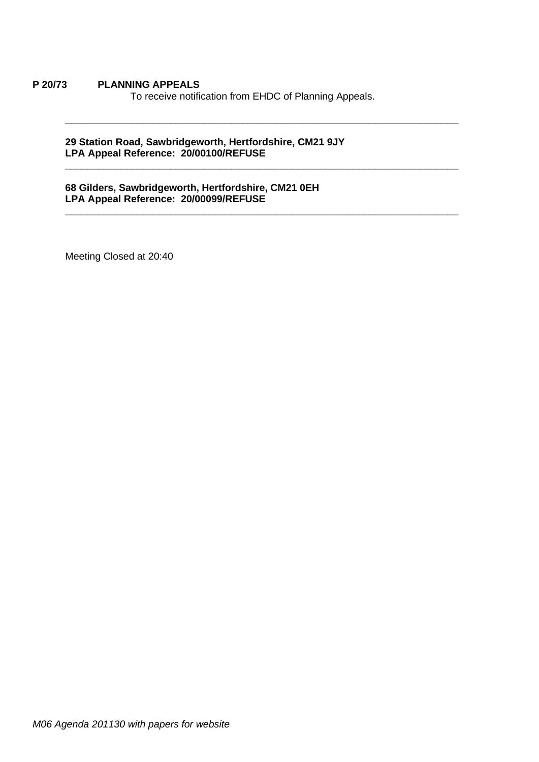#### **P 20/73 PLANNING APPEALS**

To receive notification from EHDC of Planning Appeals.

**\_\_\_\_\_\_\_\_\_\_\_\_\_\_\_\_\_\_\_\_\_\_\_\_\_\_\_\_\_\_\_\_\_\_\_\_\_\_\_\_\_\_\_\_\_\_\_\_\_\_\_\_\_\_\_\_\_\_\_\_\_\_\_\_\_\_\_\_\_\_\_**

**\_\_\_\_\_\_\_\_\_\_\_\_\_\_\_\_\_\_\_\_\_\_\_\_\_\_\_\_\_\_\_\_\_\_\_\_\_\_\_\_\_\_\_\_\_\_\_\_\_\_\_\_\_\_\_\_\_\_\_\_\_\_\_\_\_\_\_\_\_\_\_**

**\_\_\_\_\_\_\_\_\_\_\_\_\_\_\_\_\_\_\_\_\_\_\_\_\_\_\_\_\_\_\_\_\_\_\_\_\_\_\_\_\_\_\_\_\_\_\_\_\_\_\_\_\_\_\_\_\_\_\_\_\_\_\_\_\_\_\_\_\_\_\_**

#### **29 Station Road, Sawbridgeworth, Hertfordshire, CM21 9JY LPA Appeal Reference: 20/00100/REFUSE**

#### **68 Gilders, Sawbridgeworth, Hertfordshire, CM21 0EH LPA Appeal Reference: 20/00099/REFUSE**

Meeting Closed at 20:40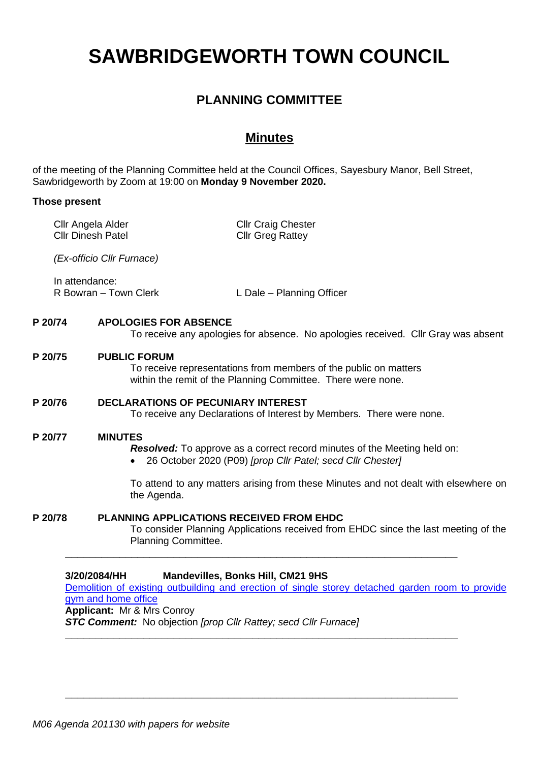# **SAWBRIDGEWORTH TOWN COUNCIL**

# **PLANNING COMMITTEE**

# **Minutes**

of the meeting of the Planning Committee held at the Council Offices, Sayesbury Manor, Bell Street, Sawbridgeworth by Zoom at 19:00 on **Monday 9 November 2020.**

#### **Those present**

|                                                                                                                                                                                     | Cllr Angela Alder<br><b>Cllr Dinesh Patel</b>                                                                                                           | <b>Cllr Craig Chester</b><br><b>Cllr Greg Rattey</b>                                                                                          |
|-------------------------------------------------------------------------------------------------------------------------------------------------------------------------------------|---------------------------------------------------------------------------------------------------------------------------------------------------------|-----------------------------------------------------------------------------------------------------------------------------------------------|
|                                                                                                                                                                                     | (Ex-officio Cllr Furnace)                                                                                                                               |                                                                                                                                               |
|                                                                                                                                                                                     | In attendance:<br>R Bowran - Town Clerk                                                                                                                 | L Dale - Planning Officer                                                                                                                     |
| P 20/74                                                                                                                                                                             | <b>APOLOGIES FOR ABSENCE</b>                                                                                                                            | To receive any apologies for absence. No apologies received. Cllr Gray was absent                                                             |
| P 20/75                                                                                                                                                                             | <b>PUBLIC FORUM</b><br>To receive representations from members of the public on matters<br>within the remit of the Planning Committee. There were none. |                                                                                                                                               |
| P 20/76                                                                                                                                                                             | <b>DECLARATIONS OF PECUNIARY INTEREST</b>                                                                                                               | To receive any Declarations of Interest by Members. There were none.                                                                          |
| P 20/77                                                                                                                                                                             | <b>MINUTES</b>                                                                                                                                          | <b>Resolved:</b> To approve as a correct record minutes of the Meeting held on:<br>26 October 2020 (P09) [prop Cllr Patel; secd Cllr Chester] |
|                                                                                                                                                                                     | the Agenda.                                                                                                                                             | To attend to any matters arising from these Minutes and not dealt with elsewhere on                                                           |
| P 20/78                                                                                                                                                                             | <b>PLANNING APPLICATIONS RECEIVED FROM EHDC</b><br>Planning Committee.                                                                                  | To consider Planning Applications received from EHDC since the last meeting of the                                                            |
| 3/20/2084/HH<br><b>Mandevilles, Bonks Hill, CM21 9HS</b><br>Demolition of existing outbuilding and erection of single storey detached garden room to provide<br>gym and home office |                                                                                                                                                         |                                                                                                                                               |

**Applicant:** Mr & Mrs Conroy

*STC Comment:* No objection *[prop Cllr Rattey; secd Cllr Furnace]*

**\_\_\_\_\_\_\_\_\_\_\_\_\_\_\_\_\_\_\_\_\_\_\_\_\_\_\_\_\_\_\_\_\_\_\_\_\_\_\_\_\_\_\_\_\_\_\_\_\_\_\_\_\_\_\_\_\_\_\_\_\_\_\_\_\_**

**\_\_\_\_\_\_\_\_\_\_\_\_\_\_\_\_\_\_\_\_\_\_\_\_\_\_\_\_\_\_\_\_\_\_\_\_\_\_\_\_\_\_\_\_\_\_\_\_\_\_\_\_\_\_\_\_\_\_\_\_\_\_\_\_\_**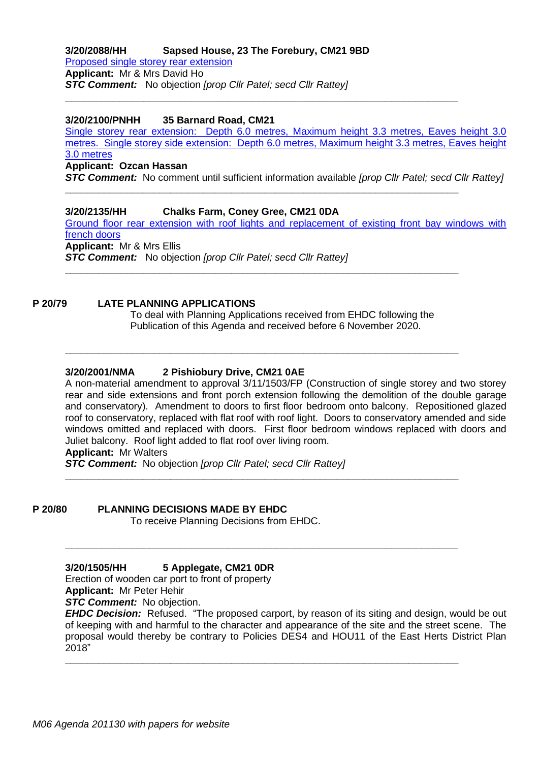### **3/20/2088/HH Sapsed House, 23 The Forebury, CM21 9BD** [Proposed single storey rear extension](https://publicaccess.eastherts.gov.uk/online-applications/applicationDetails.do?activeTab=documents&keyVal=QIP271GLJ4000) **Applicant:** Mr & Mrs David Ho

*STC Comment:* No objection *[prop Cllr Patel; secd Cllr Rattey]* **\_\_\_\_\_\_\_\_\_\_\_\_\_\_\_\_\_\_\_\_\_\_\_\_\_\_\_\_\_\_\_\_\_\_\_\_\_\_\_\_\_\_\_\_\_\_\_\_\_\_\_\_\_\_\_\_\_\_\_\_\_\_\_\_\_**

#### **3/20/2100/PNHH 35 Barnard Road, CM21**

[Single storey rear extension: Depth 6.0 metres, Maximum height 3.3 metres, Eaves height 3.0](https://publicaccess.eastherts.gov.uk/online-applications/applicationDetails.do?activeTab=documents&keyVal=QIUQRBGL00X00)  [metres. Single storey side extension: Depth 6.0 metres, Maximum height 3.3 metres, Eaves height](https://publicaccess.eastherts.gov.uk/online-applications/applicationDetails.do?activeTab=documents&keyVal=QIUQRBGL00X00)  [3.0 metres](https://publicaccess.eastherts.gov.uk/online-applications/applicationDetails.do?activeTab=documents&keyVal=QIUQRBGL00X00)

#### **Applicant: Ozcan Hassan**

*STC Comment:* No comment until sufficient information available *[prop Cllr Patel; secd Cllr Rattey]*

**\_\_\_\_\_\_\_\_\_\_\_\_\_\_\_\_\_\_\_\_\_\_\_\_\_\_\_\_\_\_\_\_\_\_\_\_\_\_\_\_\_\_\_\_\_\_\_\_\_\_\_\_\_\_\_\_\_\_\_\_\_\_\_\_\_\_\_\_\_\_\_**

**\_\_\_\_\_\_\_\_\_\_\_\_\_\_\_\_\_\_\_\_\_\_\_\_\_\_\_\_\_\_\_\_\_\_\_\_\_\_\_\_\_\_\_\_\_\_\_\_\_\_\_\_\_\_\_\_\_\_\_\_\_\_\_\_\_\_\_\_\_\_\_**

**\_\_\_\_\_\_\_\_\_\_\_\_\_\_\_\_\_\_\_\_\_\_\_\_\_\_\_\_\_\_\_\_\_\_\_\_\_\_\_\_\_\_\_\_\_\_\_\_\_\_\_\_\_\_\_\_\_\_\_\_\_\_\_\_\_\_\_\_\_\_\_**

**\_\_\_\_\_\_\_\_\_\_\_\_\_\_\_\_\_\_\_\_\_\_\_\_\_\_\_\_\_\_\_\_\_\_\_\_\_\_\_\_\_\_\_\_\_\_\_\_\_\_\_\_\_\_\_\_\_\_\_\_\_\_\_\_\_\_\_\_\_\_\_**

**\_\_\_\_\_\_\_\_\_\_\_\_\_\_\_\_\_\_\_\_\_\_\_\_\_\_\_\_\_\_\_\_\_\_\_\_\_\_\_\_\_\_\_\_\_\_\_\_\_\_\_\_\_\_\_\_\_\_\_\_\_\_\_\_\_**

**\_\_\_\_\_\_\_\_\_\_\_\_\_\_\_\_\_\_\_\_\_\_\_\_\_\_\_\_\_\_\_\_\_\_\_\_\_\_\_\_\_\_\_\_\_\_\_\_\_\_\_\_\_\_\_\_\_\_\_\_\_\_\_\_\_\_\_\_\_\_\_**

#### **3/20/2135/HH Chalks Farm, Coney Gree, CM21 0DA**

[Ground floor rear extension with roof lights and replacement of existing front bay windows with](https://publicaccess.eastherts.gov.uk/online-applications/applicationDetails.do?activeTab=documents&keyVal=QJ0K1NGLJ7C00)  [french doors](https://publicaccess.eastherts.gov.uk/online-applications/applicationDetails.do?activeTab=documents&keyVal=QJ0K1NGLJ7C00) **Applicant:** Mr & Mrs Ellis *STC Comment:* No objection *[prop Cllr Patel; secd Cllr Rattey]*

#### **P 20/79 LATE PLANNING APPLICATIONS**

To deal with Planning Applications received from EHDC following the Publication of this Agenda and received before 6 November 2020.

#### **3/20/2001/NMA 2 Pishiobury Drive, CM21 0AE**

A non-material amendment to approval 3/11/1503/FP (Construction of single storey and two storey rear and side extensions and front porch extension following the demolition of the double garage and conservatory). Amendment to doors to first floor bedroom onto balcony. Repositioned glazed roof to conservatory, replaced with flat roof with roof light. Doors to conservatory amended and side windows omitted and replaced with doors. First floor bedroom windows replaced with doors and Juliet balcony. Roof light added to flat roof over living room.

**Applicant:** Mr Walters

*STC Comment:* No objection *[prop Cllr Patel; secd Cllr Rattey]*

**P 20/80 PLANNING DECISIONS MADE BY EHDC**

To receive Planning Decisions from EHDC.

**3/20/1505/HH 5 Applegate, CM21 0DR**

Erection of wooden car port to front of property

**Applicant:** Mr Peter Hehir

*STC Comment:* No objection.

*EHDC Decision:* Refused. "The proposed carport, by reason of its siting and design, would be out of keeping with and harmful to the character and appearance of the site and the street scene. The proposal would thereby be contrary to Policies DES4 and HOU11 of the East Herts District Plan 2018"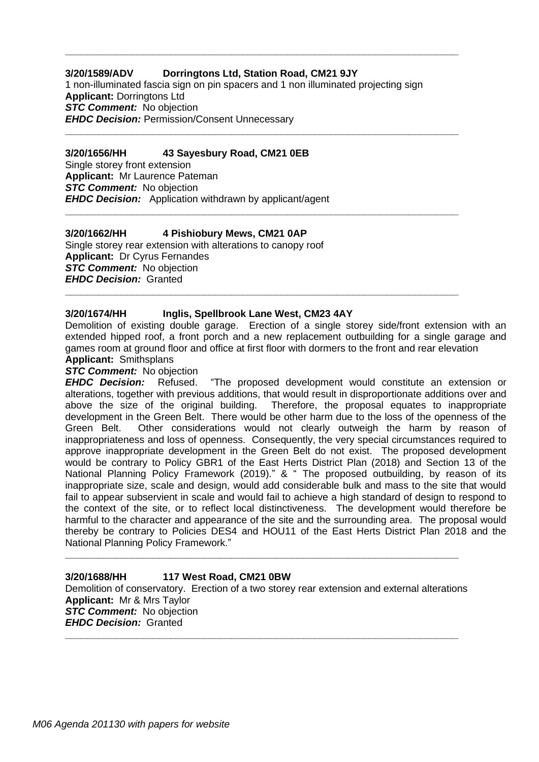#### **3/20/1589/ADV Dorringtons Ltd, Station Road, CM21 9JY**

1 non-illuminated fascia sign on pin spacers and 1 non illuminated projecting sign **Applicant:** Dorringtons Ltd *STC Comment:* No objection *EHDC Decision:* Permission/Consent Unnecessary

**\_\_\_\_\_\_\_\_\_\_\_\_\_\_\_\_\_\_\_\_\_\_\_\_\_\_\_\_\_\_\_\_\_\_\_\_\_\_\_\_\_\_\_\_\_\_\_\_\_\_\_\_\_\_\_\_\_\_\_\_\_\_\_\_\_\_\_\_\_\_\_**

**\_\_\_\_\_\_\_\_\_\_\_\_\_\_\_\_\_\_\_\_\_\_\_\_\_\_\_\_\_\_\_\_\_\_\_\_\_\_\_\_\_\_\_\_\_\_\_\_\_\_\_\_\_\_\_\_\_\_\_\_\_\_\_\_\_\_\_\_\_\_\_**

**\_\_\_\_\_\_\_\_\_\_\_\_\_\_\_\_\_\_\_\_\_\_\_\_\_\_\_\_\_\_\_\_\_\_\_\_\_\_\_\_\_\_\_\_\_\_\_\_\_\_\_\_\_\_\_\_\_\_\_\_\_\_\_\_\_\_\_\_\_\_\_**

**\_\_\_\_\_\_\_\_\_\_\_\_\_\_\_\_\_\_\_\_\_\_\_\_\_\_\_\_\_\_\_\_\_\_\_\_\_\_\_\_\_\_\_\_\_\_\_\_\_\_\_\_\_\_\_\_\_\_\_\_\_\_\_\_\_\_\_\_\_\_\_**

#### **3/20/1656/HH 43 Sayesbury Road, CM21 0EB**

Single storey front extension **Applicant:** Mr Laurence Pateman *STC Comment:* No objection *EHDC Decision:* Application withdrawn by applicant/agent

#### **3/20/1662/HH 4 Pishiobury Mews, CM21 0AP**

Single storey rear extension with alterations to canopy roof **Applicant:** Dr Cyrus Fernandes *STC Comment:* No objection *EHDC Decision:* Granted

#### **3/20/1674/HH Inglis, Spellbrook Lane West, CM23 4AY**

Demolition of existing double garage. Erection of a single storey side/front extension with an extended hipped roof, a front porch and a new replacement outbuilding for a single garage and games room at ground floor and office at first floor with dormers to the front and rear elevation **Applicant:** Smithsplans

#### *STC Comment:* No objection

*EHDC Decision:* Refused. "The proposed development would constitute an extension or alterations, together with previous additions, that would result in disproportionate additions over and above the size of the original building. Therefore, the proposal equates to inappropriate development in the Green Belt. There would be other harm due to the loss of the openness of the Green Belt. Other considerations would not clearly outweigh the harm by reason of inappropriateness and loss of openness. Consequently, the very special circumstances required to approve inappropriate development in the Green Belt do not exist. The proposed development would be contrary to Policy GBR1 of the East Herts District Plan (2018) and Section 13 of the National Planning Policy Framework (2019)." & " The proposed outbuilding, by reason of its inappropriate size, scale and design, would add considerable bulk and mass to the site that would fail to appear subservient in scale and would fail to achieve a high standard of design to respond to the context of the site, or to reflect local distinctiveness. The development would therefore be harmful to the character and appearance of the site and the surrounding area. The proposal would thereby be contrary to Policies DES4 and HOU11 of the East Herts District Plan 2018 and the National Planning Policy Framework."

#### **3/20/1688/HH 117 West Road, CM21 0BW** Demolition of conservatory. Erection of a two storey rear extension and external alterations **Applicant:** Mr & Mrs Taylor **STC Comment:** No objection *EHDC Decision:* Granted **\_\_\_\_\_\_\_\_\_\_\_\_\_\_\_\_\_\_\_\_\_\_\_\_\_\_\_\_\_\_\_\_\_\_\_\_\_\_\_\_\_\_\_\_\_\_\_\_\_\_\_\_\_\_\_\_\_\_\_\_\_\_\_\_\_\_\_\_\_\_\_**

**\_\_\_\_\_\_\_\_\_\_\_\_\_\_\_\_\_\_\_\_\_\_\_\_\_\_\_\_\_\_\_\_\_\_\_\_\_\_\_\_\_\_\_\_\_\_\_\_\_\_\_\_\_\_\_\_\_\_\_\_\_\_\_\_\_\_\_\_\_\_\_**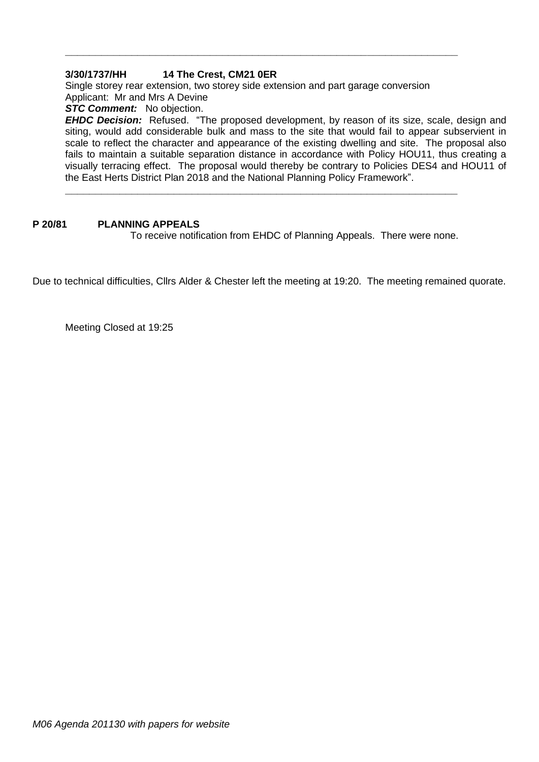#### **3/30/1737/HH 14 The Crest, CM21 0ER**

Single storey rear extension, two storey side extension and part garage conversion Applicant: Mr and Mrs A Devine

**\_\_\_\_\_\_\_\_\_\_\_\_\_\_\_\_\_\_\_\_\_\_\_\_\_\_\_\_\_\_\_\_\_\_\_\_\_\_\_\_\_\_\_\_\_\_\_\_\_\_\_\_\_\_\_\_\_\_\_\_\_\_\_\_\_**

*STC Comment:* No objection.

*EHDC Decision:* Refused. "The proposed development, by reason of its size, scale, design and siting, would add considerable bulk and mass to the site that would fail to appear subservient in scale to reflect the character and appearance of the existing dwelling and site. The proposal also fails to maintain a suitable separation distance in accordance with Policy HOU11, thus creating a visually terracing effect. The proposal would thereby be contrary to Policies DES4 and HOU11 of the East Herts District Plan 2018 and the National Planning Policy Framework".

#### **P 20/81 PLANNING APPEALS**

To receive notification from EHDC of Planning Appeals. There were none.

Due to technical difficulties, Cllrs Alder & Chester left the meeting at 19:20. The meeting remained quorate.

**\_\_\_\_\_\_\_\_\_\_\_\_\_\_\_\_\_\_\_\_\_\_\_\_\_\_\_\_\_\_\_\_\_\_\_\_\_\_\_\_\_\_\_\_\_\_\_\_\_\_\_\_\_\_\_\_\_\_\_\_\_\_\_\_\_**

Meeting Closed at 19:25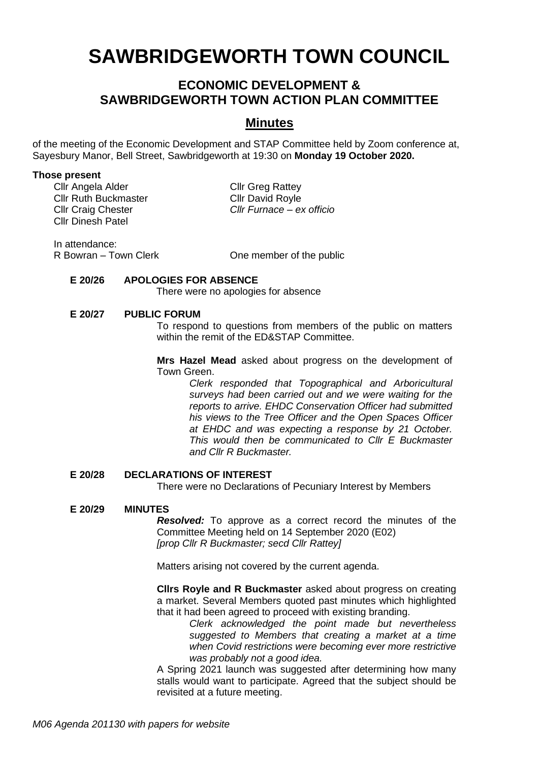# **SAWBRIDGEWORTH TOWN COUNCIL**

# **ECONOMIC DEVELOPMENT & SAWBRIDGEWORTH TOWN ACTION PLAN COMMITTEE**

# **Minutes**

of the meeting of the Economic Development and STAP Committee held by Zoom conference at, Sayesbury Manor, Bell Street, Sawbridgeworth at 19:30 on **Monday 19 October 2020.**

#### **Those present**

Cllr Angela Alder Cllr Greg Rattev Cllr Ruth Buckmaster Cllr David Royle Cllr Dinesh Patel

Cllr Craig Chester *Cllr Furnace – ex officio*

In attendance:<br>R Bowran – Town Clerk

One member of the public

#### **E 20/26 APOLOGIES FOR ABSENCE**

There were no apologies for absence

#### **E 20/27 PUBLIC FORUM**

To respond to questions from members of the public on matters within the remit of the ED&STAP Committee.

**Mrs Hazel Mead** asked about progress on the development of Town Green.

> *Clerk responded that Topographical and Arboricultural surveys had been carried out and we were waiting for the reports to arrive. EHDC Conservation Officer had submitted his views to the Tree Officer and the Open Spaces Officer at EHDC and was expecting a response by 21 October. This would then be communicated to Cllr E Buckmaster and Cllr R Buckmaster.*

#### **E 20/28 DECLARATIONS OF INTEREST**

There were no Declarations of Pecuniary Interest by Members

#### **E 20/29 MINUTES**

*Resolved:* To approve as a correct record the minutes of the Committee Meeting held on 14 September 2020 (E02) *[prop Cllr R Buckmaster; secd Cllr Rattey]*

Matters arising not covered by the current agenda.

**Cllrs Royle and R Buckmaster** asked about progress on creating a market. Several Members quoted past minutes which highlighted that it had been agreed to proceed with existing branding.

*Clerk acknowledged the point made but nevertheless suggested to Members that creating a market at a time when Covid restrictions were becoming ever more restrictive was probably not a good idea.*

A Spring 2021 launch was suggested after determining how many stalls would want to participate. Agreed that the subject should be revisited at a future meeting.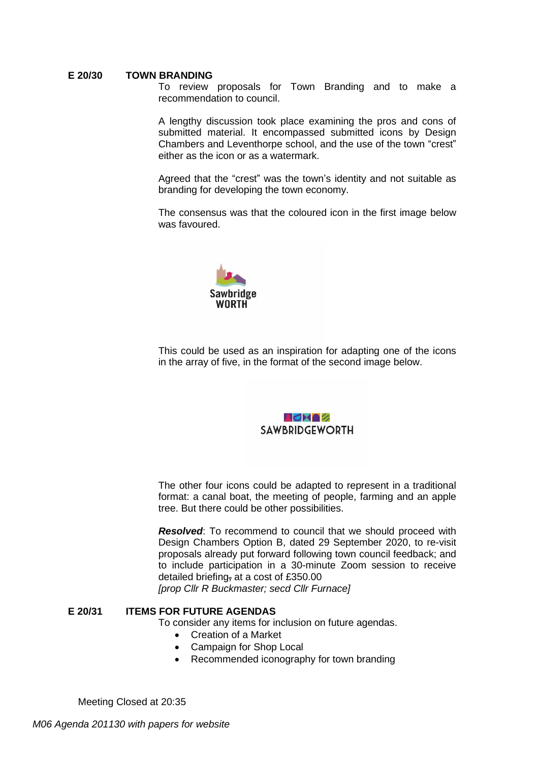#### **E 20/30 TOWN BRANDING**

To review proposals for Town Branding and to make a recommendation to council.

A lengthy discussion took place examining the pros and cons of submitted material. It encompassed submitted icons by Design Chambers and Leventhorpe school, and the use of the town "crest" either as the icon or as a watermark.

Agreed that the "crest" was the town's identity and not suitable as branding for developing the town economy.

The consensus was that the coloured icon in the first image below was favoured.



This could be used as an inspiration for adapting one of the icons in the array of five, in the format of the second image below.

#### ROMOZ **SAWBRIDGEWORTH**

The other four icons could be adapted to represent in a traditional format: a canal boat, the meeting of people, farming and an apple tree. But there could be other possibilities.

*Resolved*: To recommend to council that we should proceed with Design Chambers Option B, dated 29 September 2020, to re-visit proposals already put forward following town council feedback; and to include participation in a 30-minute Zoom session to receive detailed briefing, at a cost of £350.00

*[prop Cllr R Buckmaster; secd Cllr Furnace]*

#### **E 20/31 ITEMS FOR FUTURE AGENDAS**

To consider any items for inclusion on future agendas.

- Creation of a Market
- Campaign for Shop Local
- Recommended iconography for town branding

Meeting Closed at 20:35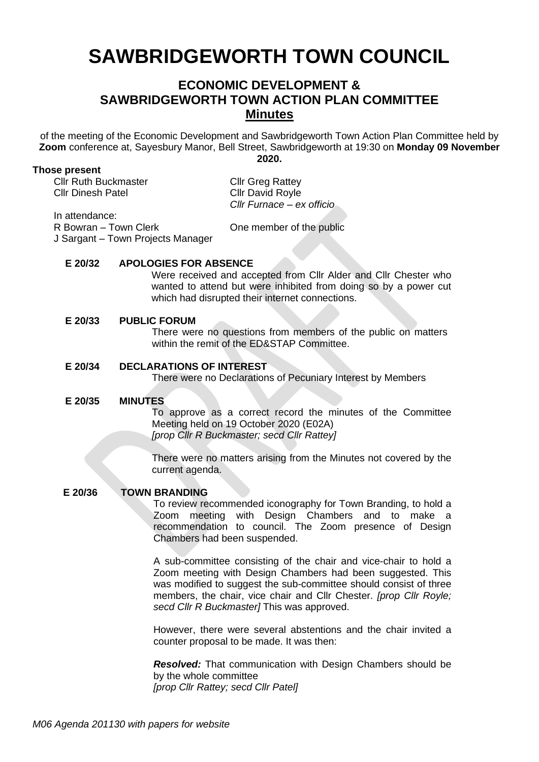# **SAWBRIDGEWORTH TOWN COUNCIL**

# **ECONOMIC DEVELOPMENT & SAWBRIDGEWORTH TOWN ACTION PLAN COMMITTEE Minutes**

of the meeting of the Economic Development and Sawbridgeworth Town Action Plan Committee held by **Zoom** conference at, Sayesbury Manor, Bell Street, Sawbridgeworth at 19:30 on **Monday 09 November 2020.**

#### **Those present**

Cllr Ruth Buckmaster Cllr Greg Rattey Cllr Dinesh Patel Cllr David Royle

*Cllr Furnace – ex officio*

In attendance:

R Bowran – Town Clerk

One member of the public

J Sargant – Town Projects Manager

#### **E 20/32 APOLOGIES FOR ABSENCE**

Were received and accepted from Cllr Alder and Cllr Chester who wanted to attend but were inhibited from doing so by a power cut which had disrupted their internet connections.

#### **E 20/33 PUBLIC FORUM**

There were no questions from members of the public on matters within the remit of the ED&STAP Committee.

#### **E 20/34 DECLARATIONS OF INTEREST**

There were no Declarations of Pecuniary Interest by Members

#### **E 20/35 MINUTES**

To approve as a correct record the minutes of the Committee Meeting held on 19 October 2020 (E02A) *[prop Cllr R Buckmaster; secd Cllr Rattey]*

There were no matters arising from the Minutes not covered by the current agenda.

#### **E 20/36 TOWN BRANDING**

To review recommended iconography for Town Branding, to hold a Zoom meeting with Design Chambers and to make a recommendation to council. The Zoom presence of Design Chambers had been suspended.

A sub-committee consisting of the chair and vice-chair to hold a Zoom meeting with Design Chambers had been suggested. This was modified to suggest the sub-committee should consist of three members, the chair, vice chair and Cllr Chester. *[prop Cllr Royle; secd Cllr R Buckmaster]* This was approved.

However, there were several abstentions and the chair invited a counter proposal to be made. It was then:

*Resolved:* That communication with Design Chambers should be by the whole committee *[prop Cllr Rattey; secd Cllr Patel]*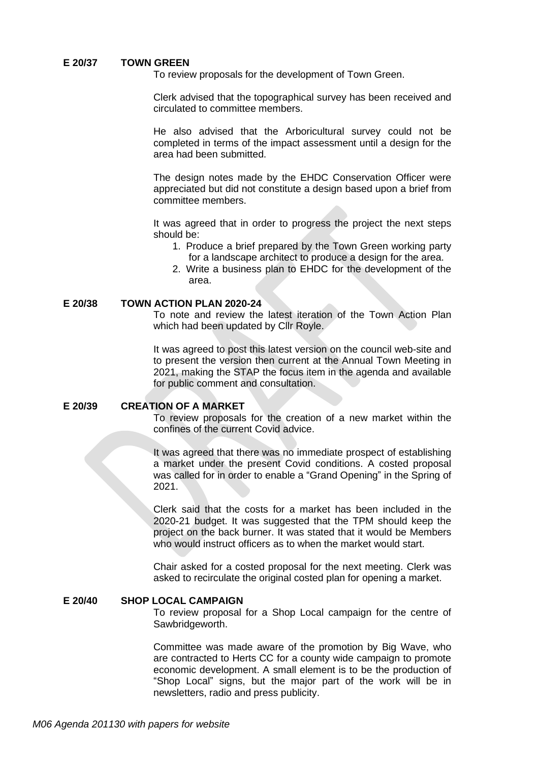#### **E 20/37 TOWN GREEN**

To review proposals for the development of Town Green.

Clerk advised that the topographical survey has been received and circulated to committee members.

He also advised that the Arboricultural survey could not be completed in terms of the impact assessment until a design for the area had been submitted.

The design notes made by the EHDC Conservation Officer were appreciated but did not constitute a design based upon a brief from committee members.

It was agreed that in order to progress the project the next steps should be:

- 1. Produce a brief prepared by the Town Green working party for a landscape architect to produce a design for the area.
- 2. Write a business plan to EHDC for the development of the area.

#### **E 20/38 TOWN ACTION PLAN 2020-24**

To note and review the latest iteration of the Town Action Plan which had been updated by Cllr Royle.

It was agreed to post this latest version on the council web-site and to present the version then current at the Annual Town Meeting in 2021, making the STAP the focus item in the agenda and available for public comment and consultation.

#### **E 20/39 CREATION OF A MARKET**

To review proposals for the creation of a new market within the confines of the current Covid advice.

It was agreed that there was no immediate prospect of establishing a market under the present Covid conditions. A costed proposal was called for in order to enable a "Grand Opening" in the Spring of 2021.

Clerk said that the costs for a market has been included in the 2020-21 budget. It was suggested that the TPM should keep the project on the back burner. It was stated that it would be Members who would instruct officers as to when the market would start.

Chair asked for a costed proposal for the next meeting. Clerk was asked to recirculate the original costed plan for opening a market.

#### **E 20/40 SHOP LOCAL CAMPAIGN**

To review proposal for a Shop Local campaign for the centre of Sawbridgeworth.

Committee was made aware of the promotion by Big Wave, who are contracted to Herts CC for a county wide campaign to promote economic development. A small element is to be the production of "Shop Local" signs, but the major part of the work will be in newsletters, radio and press publicity.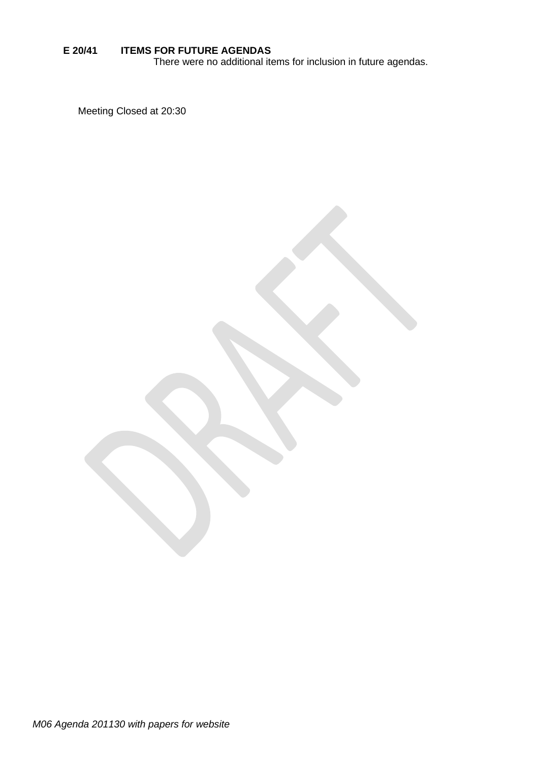#### **E 20/41 ITEMS FOR FUTURE AGENDAS**

There were no additional items for inclusion in future agendas.

Meeting Closed at 20:30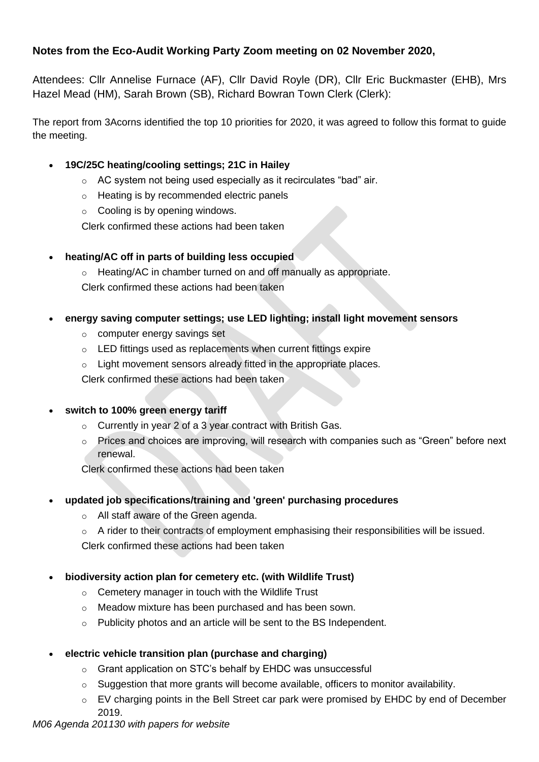# **Notes from the Eco-Audit Working Party Zoom meeting on 02 November 2020,**

Attendees: Cllr Annelise Furnace (AF), Cllr David Royle (DR), Cllr Eric Buckmaster (EHB), Mrs Hazel Mead (HM), Sarah Brown (SB), Richard Bowran Town Clerk (Clerk):

The report from 3Acorns identified the top 10 priorities for 2020, it was agreed to follow this format to guide the meeting.

# • **19C/25C heating/cooling settings; 21C in Hailey**

- o AC system not being used especially as it recirculates "bad" air.
- o Heating is by recommended electric panels
- $\circ$  Cooling is by opening windows.

Clerk confirmed these actions had been taken

# • **heating/AC off in parts of building less occupied**

o Heating/AC in chamber turned on and off manually as appropriate. Clerk confirmed these actions had been taken

- **energy saving computer settings; use LED lighting; install light movement sensors**
	- o computer energy savings set
	- o LED fittings used as replacements when current fittings expire
	- o Light movement sensors already fitted in the appropriate places.

Clerk confirmed these actions had been taken

# • **switch to 100% green energy tariff**

- o Currently in year 2 of a 3 year contract with British Gas.
- o Prices and choices are improving, will research with companies such as "Green" before next renewal.

Clerk confirmed these actions had been taken

- **updated job specifications/training and 'green' purchasing procedures** 
	- o All staff aware of the Green agenda.
	- o A rider to their contracts of employment emphasising their responsibilities will be issued. Clerk confirmed these actions had been taken

# • **biodiversity action plan for cemetery etc. (with Wildlife Trust)**

- o Cemetery manager in touch with the Wildlife Trust
- o Meadow mixture has been purchased and has been sown.
- o Publicity photos and an article will be sent to the BS Independent.
- **electric vehicle transition plan (purchase and charging)**
	- o Grant application on STC's behalf by EHDC was unsuccessful
	- o Suggestion that more grants will become available, officers to monitor availability.
	- o EV charging points in the Bell Street car park were promised by EHDC by end of December 2019.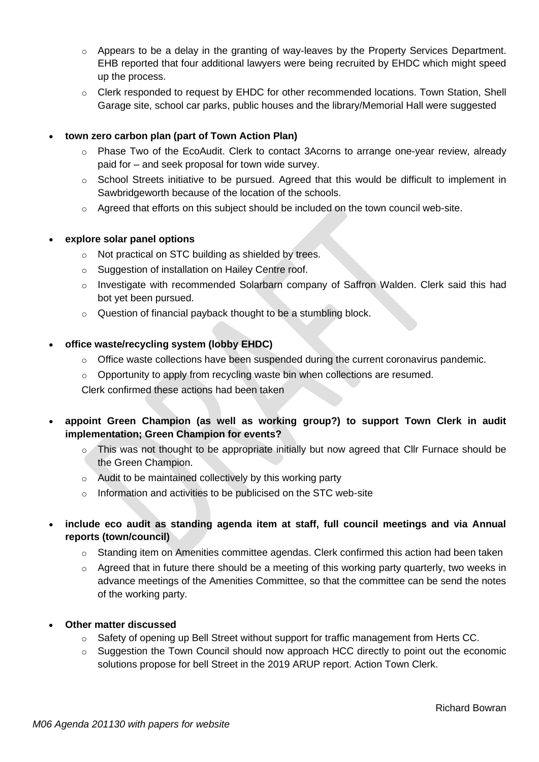- o Appears to be a delay in the granting of way-leaves by the Property Services Department. EHB reported that four additional lawyers were being recruited by EHDC which might speed up the process.
- o Clerk responded to request by EHDC for other recommended locations. Town Station, Shell Garage site, school car parks, public houses and the library/Memorial Hall were suggested

#### • **town zero carbon plan (part of Town Action Plan)**

- o Phase Two of the EcoAudit. Clerk to contact 3Acorns to arrange one-year review, already paid for – and seek proposal for town wide survey.
- $\circ$  School Streets initiative to be pursued. Agreed that this would be difficult to implement in Sawbridgeworth because of the location of the schools.
- $\circ$  Agreed that efforts on this subject should be included on the town council web-site.

#### • **explore solar panel options**

- o Not practical on STC building as shielded by trees.
- o Suggestion of installation on Hailey Centre roof.
- o Investigate with recommended Solarbarn company of Saffron Walden. Clerk said this had bot yet been pursued.
- o Question of financial payback thought to be a stumbling block.

#### • **office waste/recycling system (lobby EHDC)**

- $\circ$  Office waste collections have been suspended during the current coronavirus pandemic.
- $\circ$  Opportunity to apply from recycling waste bin when collections are resumed.

Clerk confirmed these actions had been taken

- **appoint Green Champion (as well as working group?) to support Town Clerk in audit implementation; Green Champion for events?**
	- o This was not thought to be appropriate initially but now agreed that Cllr Furnace should be the Green Champion.
	- o Audit to be maintained collectively by this working party
	- o Information and activities to be publicised on the STC web-site
- **include eco audit as standing agenda item at staff, full council meetings and via Annual reports (town/council)**
	- $\circ$  Standing item on Amenities committee agendas. Clerk confirmed this action had been taken
	- $\circ$  Agreed that in future there should be a meeting of this working party quarterly, two weeks in advance meetings of the Amenities Committee, so that the committee can be send the notes of the working party.

#### • **Other matter discussed**

- o Safety of opening up Bell Street without support for traffic management from Herts CC.
- $\circ$  Suggestion the Town Council should now approach HCC directly to point out the economic solutions propose for bell Street in the 2019 ARUP report. Action Town Clerk.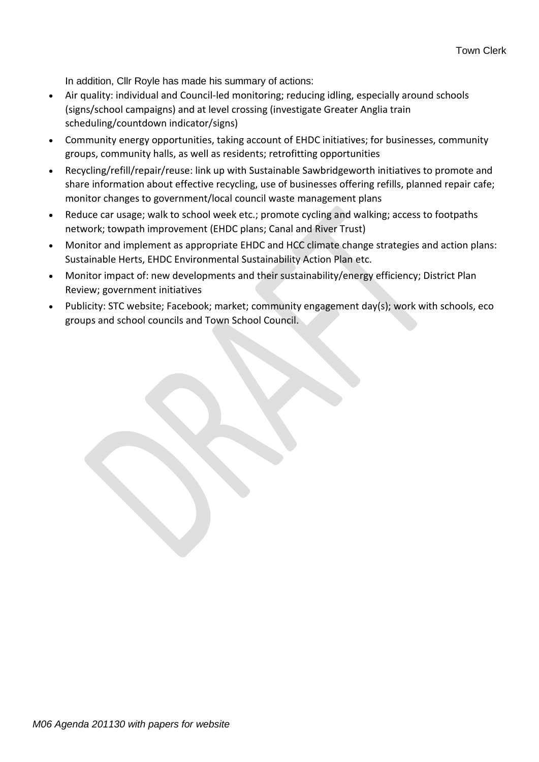In addition, Cllr Royle has made his summary of actions:

- Air quality: individual and Council-led monitoring; reducing idling, especially around schools (signs/school campaigns) and at level crossing (investigate Greater Anglia train scheduling/countdown indicator/signs)
- Community energy opportunities, taking account of EHDC initiatives; for businesses, community groups, community halls, as well as residents; retrofitting opportunities
- Recycling/refill/repair/reuse: link up with Sustainable Sawbridgeworth initiatives to promote and share information about effective recycling, use of businesses offering refills, planned repair cafe; monitor changes to government/local council waste management plans
- Reduce car usage; walk to school week etc.; promote cycling and walking; access to footpaths network; towpath improvement (EHDC plans; Canal and River Trust)
- Monitor and implement as appropriate EHDC and HCC climate change strategies and action plans: Sustainable Herts, EHDC Environmental Sustainability Action Plan etc.
- Monitor impact of: new developments and their sustainability/energy efficiency; District Plan Review; government initiatives
- Publicity: STC website; Facebook; market; community engagement day(s); work with schools, eco groups and school councils and Town School Council.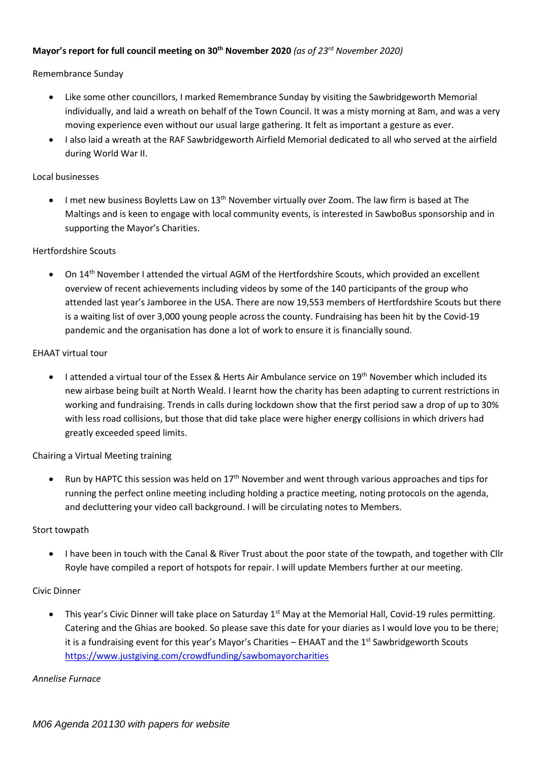#### **Mayor's report for full council meeting on 30th November <sup>2020</sup>** *(as of 23 rd November 2020)*

#### Remembrance Sunday

- Like some other councillors, I marked Remembrance Sunday by visiting the Sawbridgeworth Memorial individually, and laid a wreath on behalf of the Town Council. It was a misty morning at 8am, and was a very moving experience even without our usual large gathering. It felt as important a gesture as ever.
- I also laid a wreath at the RAF Sawbridgeworth Airfield Memorial dedicated to all who served at the airfield during World War II.

#### Local businesses

• I met new business Boyletts Law on  $13<sup>th</sup>$  November virtually over Zoom. The law firm is based at The Maltings and is keen to engage with local community events, is interested in SawboBus sponsorship and in supporting the Mayor's Charities.

#### Hertfordshire Scouts

•On 14<sup>th</sup> November I attended the virtual AGM of the Hertfordshire Scouts, which provided an excellent overview of recent achievements including videos by some of the 140 participants of the group who attended last year's Jamboree in the USA. There are now 19,553 members of Hertfordshire Scouts but there is a waiting list of over 3,000 young people across the county. Fundraising has been hit by the Covid-19 pandemic and the organisation has done a lot of work to ensure it is financially sound.

#### EHAAT virtual tour

•I attended a virtual tour of the Essex & Herts Air Ambulance service on 19<sup>th</sup> November which included its new airbase being built at North Weald. I learnt how the charity has been adapting to current restrictions in working and fundraising. Trends in calls during lockdown show that the first period saw a drop of up to 30% with less road collisions, but those that did take place were higher energy collisions in which drivers had greatly exceeded speed limits.

#### Chairing a Virtual Meeting training

• Run by HAPTC this session was held on 17<sup>th</sup> November and went through various approaches and tips for running the perfect online meeting including holding a practice meeting, noting protocols on the agenda, and decluttering your video call background. I will be circulating notes to Members.

#### Stort towpath

• I have been in touch with the Canal & River Trust about the poor state of the towpath, and together with Cllr Royle have compiled a report of hotspots for repair. I will update Members further at our meeting.

#### Civic Dinner

•This year's Civic Dinner will take place on Saturday  $1<sup>st</sup>$  May at the Memorial Hall, Covid-19 rules permitting. Catering and the Ghias are booked. So please save this date for your diaries as I would love you to be there; it is a fundraising event for this year's Mayor's Charities – EHAAT and the  $1<sup>st</sup>$  Sawbridgeworth Scouts https://www.justgiving.com/crowdfunding/sawbomayorcharities

#### *Annelise Furnace*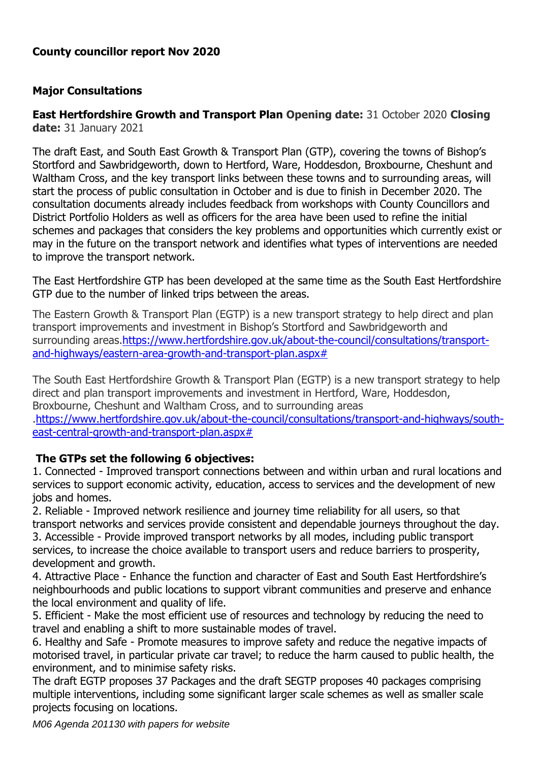# **County councillor report Nov 2020**

# **Major Consultations**

**East Hertfordshire Growth and Transport Plan Opening date:** 31 October 2020 **Closing date:** 31 January 2021

The draft East, and South East Growth & Transport Plan (GTP), covering the towns of Bishop's Stortford and Sawbridgeworth, down to Hertford, Ware, Hoddesdon, Broxbourne, Cheshunt and Waltham Cross, and the key transport links between these towns and to surrounding areas, will start the process of public consultation in October and is due to finish in December 2020. The consultation documents already includes feedback from workshops with County Councillors and District Portfolio Holders as well as officers for the area have been used to refine the initial schemes and packages that considers the key problems and opportunities which currently exist or may in the future on the transport network and identifies what types of interventions are needed to improve the transport network.

The East Hertfordshire GTP has been developed at the same time as the South East Hertfordshire GTP due to the number of linked trips between the areas.

The Eastern Growth & Transport Plan (EGTP) is a new transport strategy to help direct and plan transport improvements and investment in Bishop's Stortford and Sawbridgeworth and surrounding areas[.https://www.hertfordshire.gov.uk/about-the-council/consultations/transport](https://www.hertfordshire.gov.uk/about-the-council/consultations/transport-and-highways/eastern-area-growth-and-transport-plan.aspx)[and-highways/eastern-area-growth-and-transport-plan.aspx#](https://www.hertfordshire.gov.uk/about-the-council/consultations/transport-and-highways/eastern-area-growth-and-transport-plan.aspx)

The South East Hertfordshire Growth & Transport Plan (EGTP) is a new transport strategy to help direct and plan transport improvements and investment in Hertford, Ware, Hoddesdon, Broxbourne, Cheshunt and Waltham Cross, and to surrounding areas [.https://www.hertfordshire.gov.uk/about-the-council/consultations/transport-and-highways/south](https://www.hertfordshire.gov.uk/about-the-council/consultations/transport-and-highways/south-east-central-growth-and-transport-plan.aspx)[east-central-growth-and-transport-plan.aspx#](https://www.hertfordshire.gov.uk/about-the-council/consultations/transport-and-highways/south-east-central-growth-and-transport-plan.aspx)

# **The GTPs set the following 6 objectives:**

1. Connected - Improved transport connections between and within urban and rural locations and services to support economic activity, education, access to services and the development of new jobs and homes.

2. Reliable - Improved network resilience and journey time reliability for all users, so that transport networks and services provide consistent and dependable journeys throughout the day. 3. Accessible - Provide improved transport networks by all modes, including public transport services, to increase the choice available to transport users and reduce barriers to prosperity, development and growth.

4. Attractive Place - Enhance the function and character of East and South East Hertfordshire's neighbourhoods and public locations to support vibrant communities and preserve and enhance the local environment and quality of life.

5. Efficient - Make the most efficient use of resources and technology by reducing the need to travel and enabling a shift to more sustainable modes of travel.

6. Healthy and Safe - Promote measures to improve safety and reduce the negative impacts of motorised travel, in particular private car travel; to reduce the harm caused to public health, the environment, and to minimise safety risks.

The draft EGTP proposes 37 Packages and the draft SEGTP proposes 40 packages comprising multiple interventions, including some significant larger scale schemes as well as smaller scale projects focusing on locations.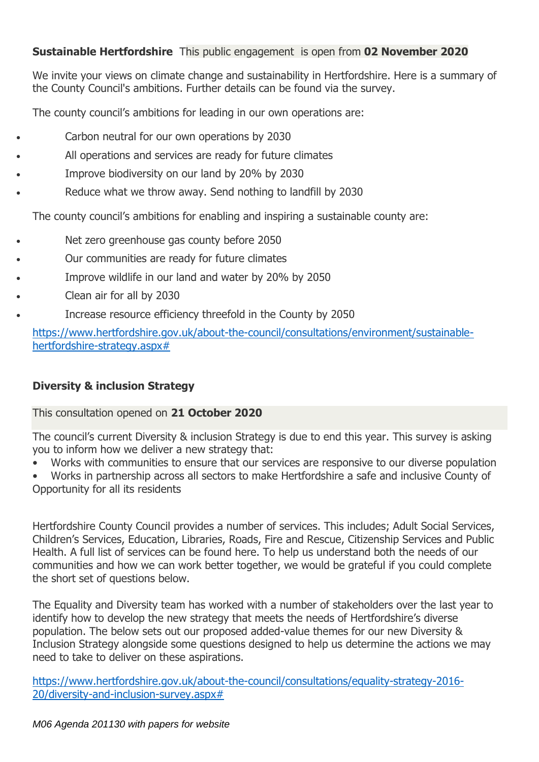# **Sustainable Hertfordshire** This public engagement is open from **02 November 2020**

We invite your views on climate change and sustainability in Hertfordshire. Here is a summary of the County Council's ambitions. Further details can be found via the survey.

The county council's ambitions for leading in our own operations are:

- Carbon neutral for our own operations by 2030
- All operations and services are ready for future climates
- Improve biodiversity on our land by 20% by 2030
- Reduce what we throw away. Send nothing to landfill by 2030

The county council's ambitions for enabling and inspiring a sustainable county are:

- Net zero greenhouse gas county before 2050
- Our communities are ready for future climates
- Improve wildlife in our land and water by 20% by 2050
- Clean air for all by 2030
- Increase resource efficiency threefold in the County by 2050

https://www.hertfordshire.gov.uk/about-the-council/consultations/environment/sustainablehertfordshire-strategy.aspx#

# **Diversity & inclusion Strategy**

This consultation opened on **21 October 2020**

The council's current Diversity & inclusion Strategy is due to end this year. This survey is asking you to inform how we deliver a new strategy that:

• Works with communities to ensure that our services are responsive to our diverse population

• Works in partnership across all sectors to make Hertfordshire a safe and inclusive County of Opportunity for all its residents

Hertfordshire County Council provides a number of services. This includes; Adult Social Services, Children's Services, Education, Libraries, Roads, Fire and Rescue, Citizenship Services and Public Health. A full list of services can be found here. To help us understand both the needs of our communities and how we can work better together, we would be grateful if you could complete the short set of questions below.

The Equality and Diversity team has worked with a number of stakeholders over the last year to identify how to develop the new strategy that meets the needs of Hertfordshire's diverse population. The below sets out our proposed added-value themes for our new Diversity & Inclusion Strategy alongside some questions designed to help us determine the actions we may need to take to deliver on these aspirations.

https://www.hertfordshire.gov.uk/about-the-council/consultations/equality-strategy-2016- 20/diversity-and-inclusion-survey.aspx#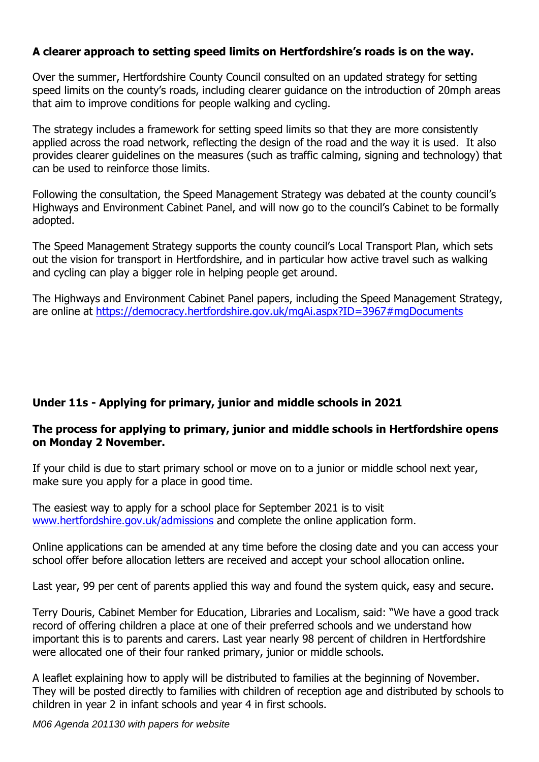# **A clearer approach to setting speed limits on Hertfordshire's roads is on the way.**

Over the summer, Hertfordshire County Council consulted on an updated strategy for setting speed limits on the county's roads, including clearer guidance on the introduction of 20mph areas that aim to improve conditions for people walking and cycling.

The strategy includes a framework for setting speed limits so that they are more consistently applied across the road network, reflecting the design of the road and the way it is used. It also provides clearer guidelines on the measures (such as traffic calming, signing and technology) that can be used to reinforce those limits.

Following the consultation, the Speed Management Strategy was debated at the county council's Highways and Environment Cabinet Panel, and will now go to the council's Cabinet to be formally adopted.

The Speed Management Strategy supports the county council's Local Transport Plan, which sets out the vision for transport in Hertfordshire, and in particular how active travel such as walking and cycling can play a bigger role in helping people get around.

The Highways and Environment Cabinet Panel papers, including the Speed Management Strategy, are online at [https://democracy.hertfordshire.gov.uk/mgAi.aspx?ID=3967#mgDocuments](http://track.vuelio.uk.com/z.z?l=aHR0cHM6Ly9kZW1vY3JhY3kuaGVydGZvcmRzaGlyZS5nb3YudWsvbWdBaS5hc3B4P0lEPTM5NjcjbWdEb2N1bWVudHM%3d&r=13055549920&d=12746865&p=1&t=h&h=0109447ba402a1a759843d01e5e34861)

# **Under 11s - Applying for primary, junior and middle schools in 2021**

# **The process for applying to primary, junior and middle schools in Hertfordshire opens on Monday 2 November.**

If your child is due to start primary school or move on to a junior or middle school next year, make sure you apply for a place in good time.

The easiest way to apply for a school place for September 2021 is to visit [www.hertfordshire.gov.uk/admissions](http://track.vuelio.uk.com/z.z?l=aHR0cDovL3d3dy5oZXJ0Zm9yZHNoaXJlLmdvdi51ay9hZG1pc3Npb25z&r=13029596791&d=12630490&p=1&t=h&h=e71733005b4bc1678ad1673e611e4bce) and complete the online application form.

Online applications can be amended at any time before the closing date and you can access your school offer before allocation letters are received and accept your school allocation online.

Last year, 99 per cent of parents applied this way and found the system quick, easy and secure.

Terry Douris, Cabinet Member for Education, Libraries and Localism, said: "We have a good track record of offering children a place at one of their preferred schools and we understand how important this is to parents and carers. Last year nearly 98 percent of children in Hertfordshire were allocated one of their four ranked primary, junior or middle schools.

A leaflet explaining how to apply will be distributed to families at the beginning of November. They will be posted directly to families with children of reception age and distributed by schools to children in year 2 in infant schools and year 4 in first schools.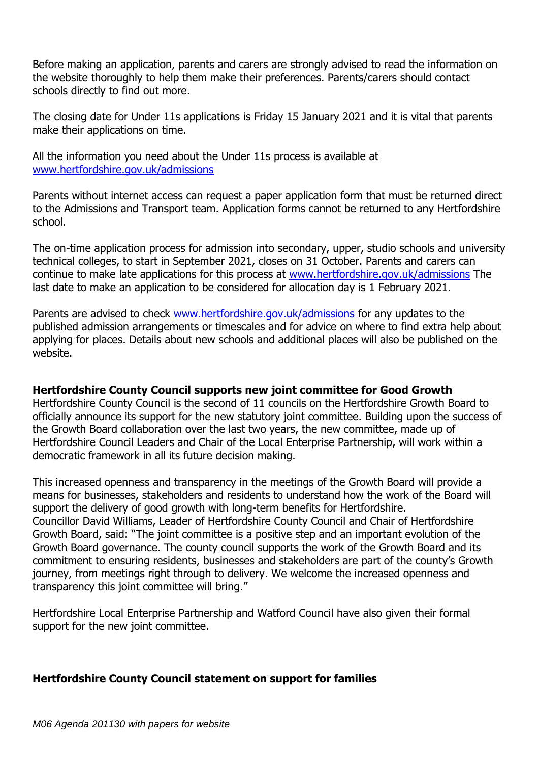Before making an application, parents and carers are strongly advised to read the information on the website thoroughly to help them make their preferences. Parents/carers should contact schools directly to find out more.

The closing date for Under 11s applications is Friday 15 January 2021 and it is vital that parents make their applications on time.

All the information you need about the Under 11s process is available at [www.hertfordshire.gov.uk/admissions](http://track.vuelio.uk.com/z.z?l=aHR0cDovL3d3dy5oZXJ0Zm9yZHNoaXJlLmdvdi51ay9hZG1pc3Npb25z&r=13029596791&d=12630490&p=2&t=h&h=e71733005b4bc1678ad1673e611e4bce)

Parents without internet access can request a paper application form that must be returned direct to the Admissions and Transport team. Application forms cannot be returned to any Hertfordshire school.

The on-time application process for admission into secondary, upper, studio schools and university technical colleges, to start in September 2021, closes on 31 October. Parents and carers can continue to make late applications for this process at [www.hertfordshire.gov.uk/admissions](http://track.vuelio.uk.com/z.z?l=aHR0cDovL3d3dy5oZXJ0Zm9yZHNoaXJlLmdvdi51ay9hZG1pc3Npb25z&r=13029596791&d=12630490&p=3&t=h&h=e71733005b4bc1678ad1673e611e4bce) The last date to make an application to be considered for allocation day is 1 February 2021.

Parents are advised to check [www.hertfordshire.gov.uk/admissions](http://track.vuelio.uk.com/z.z?l=aHR0cDovL3d3dy5oZXJ0Zm9yZHNoaXJlLmdvdi51ay9hZG1pc3Npb25z&r=13029596791&d=12630490&p=4&t=h&h=e71733005b4bc1678ad1673e611e4bce) for any updates to the published admission arrangements or timescales and for advice on where to find extra help about applying for places. Details about new schools and additional places will also be published on the website.

# **Hertfordshire County Council supports new joint committee for Good Growth**

Hertfordshire County Council is the second of 11 councils on the Hertfordshire Growth Board to officially announce its support for the new statutory joint committee. Building upon the success of the Growth Board collaboration over the last two years, the new committee, made up of Hertfordshire Council Leaders and Chair of the Local Enterprise Partnership, will work within a democratic framework in all its future decision making.

This increased openness and transparency in the meetings of the Growth Board will provide a means for businesses, stakeholders and residents to understand how the work of the Board will support the delivery of good growth with long-term benefits for Hertfordshire. Councillor David Williams, Leader of Hertfordshire County Council and Chair of Hertfordshire Growth Board, said: "The joint committee is a positive step and an important evolution of the Growth Board governance. The county council supports the work of the Growth Board and its commitment to ensuring residents, businesses and stakeholders are part of the county's Growth journey, from meetings right through to delivery. We welcome the increased openness and transparency this joint committee will bring."

Hertfordshire Local Enterprise Partnership and Watford Council have also given their formal support for the new joint committee.

# **Hertfordshire County Council statement on support for families**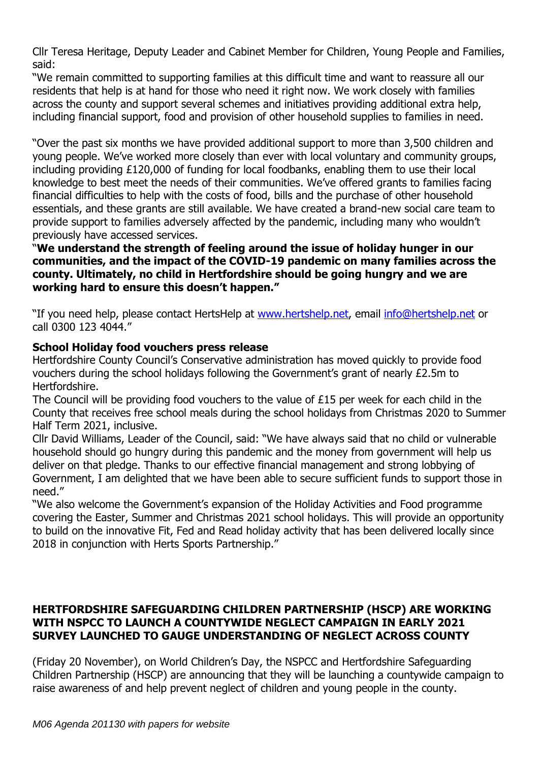Cllr Teresa Heritage, Deputy Leader and Cabinet Member for Children, Young People and Families, said:

"We remain committed to supporting families at this difficult time and want to reassure all our residents that help is at hand for those who need it right now. We work closely with families across the county and support several schemes and initiatives providing additional extra help, including financial support, food and provision of other household supplies to families in need.

"Over the past six months we have provided additional support to more than 3,500 children and young people. We've worked more closely than ever with local voluntary and community groups, including providing £120,000 of funding for local foodbanks, enabling them to use their local knowledge to best meet the needs of their communities. We've offered grants to families facing financial difficulties to help with the costs of food, bills and the purchase of other household essentials, and these grants are still available. We have created a brand-new social care team to provide support to families adversely affected by the pandemic, including many who wouldn't previously have accessed services.

# "**We understand the strength of feeling around the issue of holiday hunger in our communities, and the impact of the COVID-19 pandemic on many families across the county. Ultimately, no child in Hertfordshire should be going hungry and we are working hard to ensure this doesn't happen."**

"If you need help, please contact HertsHelp at [www.hertshelp.net,](http://www.hertshelp.net/) email [info@hertshelp.net](mailto:info@hertshelp.net) or call 0300 123 4044."

# **School Holiday food vouchers press release**

Hertfordshire County Council's Conservative administration has moved quickly to provide food vouchers during the school holidays following the Government's grant of nearly £2.5m to Hertfordshire.

The Council will be providing food vouchers to the value of £15 per week for each child in the County that receives free school meals during the school holidays from Christmas 2020 to Summer Half Term 2021, inclusive.

Cllr David Williams, Leader of the Council, said: "We have always said that no child or vulnerable household should go hungry during this pandemic and the money from government will help us deliver on that pledge. Thanks to our effective financial management and strong lobbying of Government, I am delighted that we have been able to secure sufficient funds to support those in need."

"We also welcome the Government's expansion of the Holiday Activities and Food programme covering the Easter, Summer and Christmas 2021 school holidays. This will provide an opportunity to build on the innovative Fit, Fed and Read holiday activity that has been delivered locally since 2018 in conjunction with Herts Sports Partnership."

# **HERTFORDSHIRE SAFEGUARDING CHILDREN PARTNERSHIP (HSCP) ARE WORKING WITH NSPCC TO LAUNCH A COUNTYWIDE NEGLECT CAMPAIGN IN EARLY 2021 SURVEY LAUNCHED TO GAUGE UNDERSTANDING OF NEGLECT ACROSS COUNTY**

(Friday 20 November), on World Children's Day, the NSPCC and Hertfordshire Safeguarding Children Partnership (HSCP) are announcing that they will be launching a countywide campaign to raise awareness of and help prevent neglect of children and young people in the county.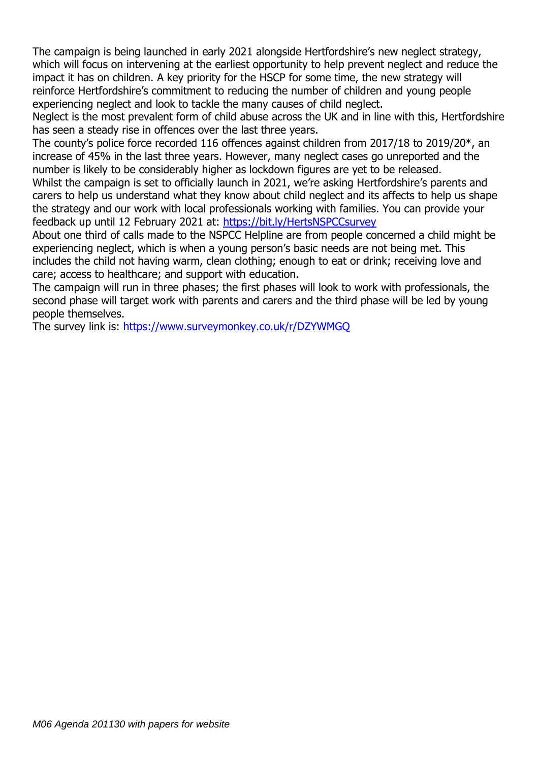The campaign is being launched in early 2021 alongside Hertfordshire's new neglect strategy, which will focus on intervening at the earliest opportunity to help prevent neglect and reduce the impact it has on children. A key priority for the HSCP for some time, the new strategy will reinforce Hertfordshire's commitment to reducing the number of children and young people experiencing neglect and look to tackle the many causes of child neglect.

Neglect is the most prevalent form of child abuse across the UK and in line with this, Hertfordshire has seen a steady rise in offences over the last three years.

The county's police force recorded 116 offences against children from 2017/18 to 2019/20\*, an increase of 45% in the last three years. However, many neglect cases go unreported and the number is likely to be considerably higher as lockdown figures are yet to be released.

Whilst the campaign is set to officially launch in 2021, we're asking Hertfordshire's parents and carers to help us understand what they know about child neglect and its affects to help us shape the strategy and our work with local professionals working with families. You can provide your feedback up until 12 February 2021 at:<https://bit.ly/HertsNSPCCsurvey>

About one third of calls made to the NSPCC Helpline are from people concerned a child might be experiencing neglect, which is when a young person's basic needs are not being met. This includes the child not having warm, clean clothing; enough to eat or drink; receiving love and care; access to healthcare; and support with education.

The campaign will run in three phases; the first phases will look to work with professionals, the second phase will target work with parents and carers and the third phase will be led by young people themselves. 

The survey link is:<https://www.surveymonkey.co.uk/r/DZYWMGQ>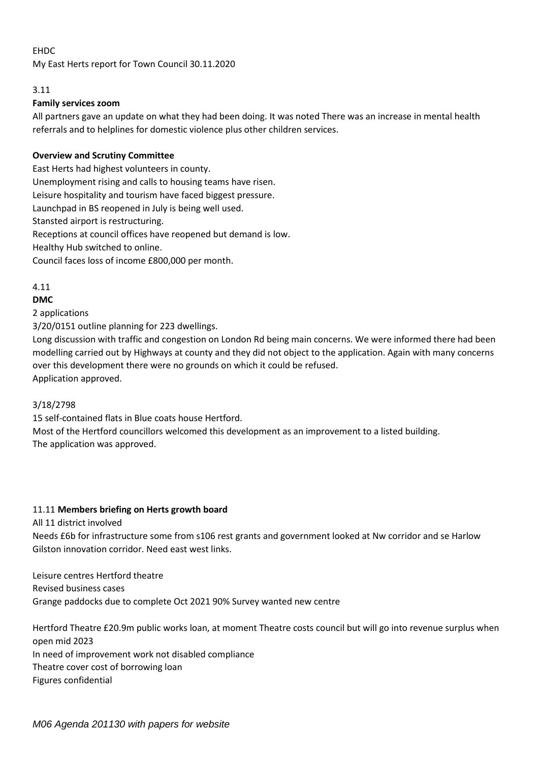#### EHDC

My East Herts report for Town Council 30.11.2020

#### 3.11

#### **Family services zoom**

All partners gave an update on what they had been doing. It was noted There was an increase in mental health referrals and to helplines for domestic violence plus other children services.

#### **Overview and Scrutiny Committee**

East Herts had highest volunteers in county. Unemployment rising and calls to housing teams have risen. Leisure hospitality and tourism have faced biggest pressure. Launchpad in BS reopened in July is being well used. Stansted airport is restructuring. Receptions at council offices have reopened but demand is low. Healthy Hub switched to online. Council faces loss of income £800,000 per month.

#### 4.11

#### **DMC**

2 applications

3/20/0151 outline planning for 223 dwellings.

Long discussion with traffic and congestion on London Rd being main concerns. We were informed there had been modelling carried out by Highways at county and they did not object to the application. Again with many concerns over this development there were no grounds on which it could be refused.

Application approved.

#### 3/18/2798

15 self-contained flats in Blue coats house Hertford.

Most of the Hertford councillors welcomed this development as an improvement to a listed building. The application was approved.

#### 11.11 **Members briefing on Herts growth board**

All 11 district involved

Needs £6b for infrastructure some from s106 rest grants and government looked at Nw corridor and se Harlow Gilston innovation corridor. Need east west links.

Leisure centres Hertford theatre Revised business cases Grange paddocks due to complete Oct 2021 90% Survey wanted new centre

Hertford Theatre £20.9m public works loan, at moment Theatre costs council but will go into revenue surplus when open mid 2023 In need of improvement work not disabled compliance Theatre cover cost of borrowing loan Figures confidential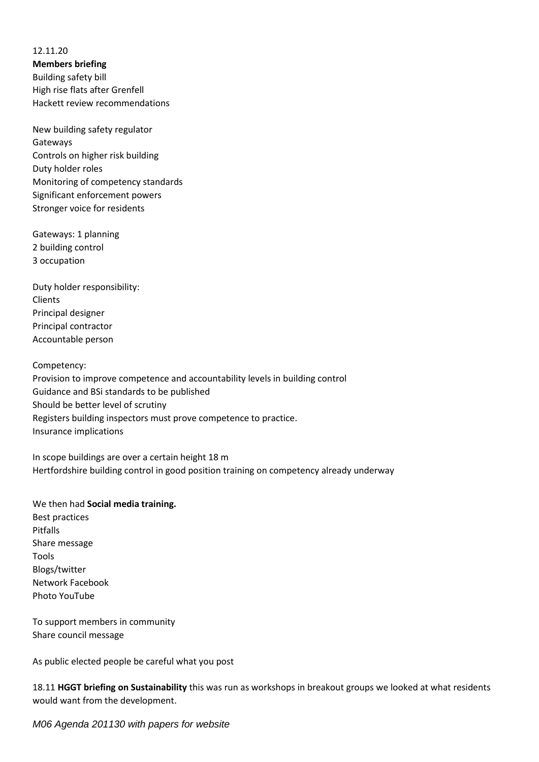12.11.20 **Members briefing** Building safety bill High rise flats after Grenfell Hackett review recommendations

New building safety regulator Gateways Controls on higher risk building Duty holder roles Monitoring of competency standards Significant enforcement powers Stronger voice for residents

Gateways: 1 planning 2 building control 3 occupation

Duty holder responsibility: Clients Principal designer Principal contractor Accountable person

Competency: Provision to improve competence and accountability levels in building control Guidance and BSi standards to be published Should be better level of scrutiny Registers building inspectors must prove competence to practice. Insurance implications

In scope buildings are over a certain height 18 m Hertfordshire building control in good position training on competency already underway

We then had **Social media training.** Best practices Pitfalls Share message Tools Blogs/twitter Network Facebook Photo YouTube

To support members in community Share council message

As public elected people be careful what you post

18.11 **HGGT briefing on Sustainability** this was run as workshops in breakout groups we looked at what residents would want from the development.

*M06 Agenda 201130 with papers for website*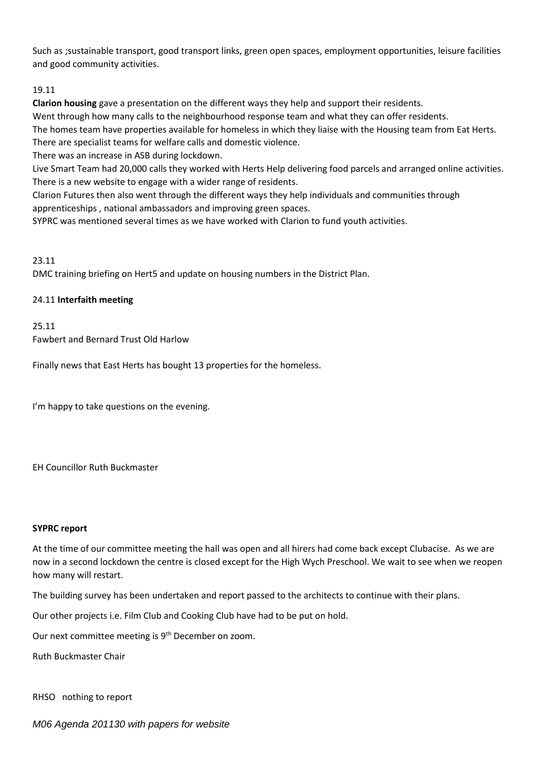Such as ;sustainable transport, good transport links, green open spaces, employment opportunities, leisure facilities and good community activities.

#### 19.11

**Clarion housing** gave a presentation on the different ways they help and support their residents.

Went through how many calls to the neighbourhood response team and what they can offer residents.

The homes team have properties available for homeless in which they liaise with the Housing team from Eat Herts. There are specialist teams for welfare calls and domestic violence.

There was an increase in ASB during lockdown.

Live Smart Team had 20,000 calls they worked with Herts Help delivering food parcels and arranged online activities. There is a new website to engage with a wider range of residents.

Clarion Futures then also went through the different ways they help individuals and communities through apprenticeships , national ambassadors and improving green spaces.

SYPRC was mentioned several times as we have worked with Clarion to fund youth activities.

#### 23.11

DMC training briefing on Hert5 and update on housing numbers in the District Plan.

#### 24.11 **Interfaith meeting**

#### 25.11

Fawbert and Bernard Trust Old Harlow

Finally news that East Herts has bought 13 properties for the homeless.

I'm happy to take questions on the evening.

EH Councillor Ruth Buckmaster

#### **SYPRC report**

At the time of our committee meeting the hall was open and all hirers had come back except Clubacise. As we are now in a second lockdown the centre is closed except for the High Wych Preschool. We wait to see when we reopen how many will restart.

The building survey has been undertaken and report passed to the architects to continue with their plans.

Our other projects i.e. Film Club and Cooking Club have had to be put on hold.

Our next committee meeting is 9<sup>th</sup> December on zoom.

Ruth Buckmaster Chair

RHSO nothing to report

*M06 Agenda 201130 with papers for website*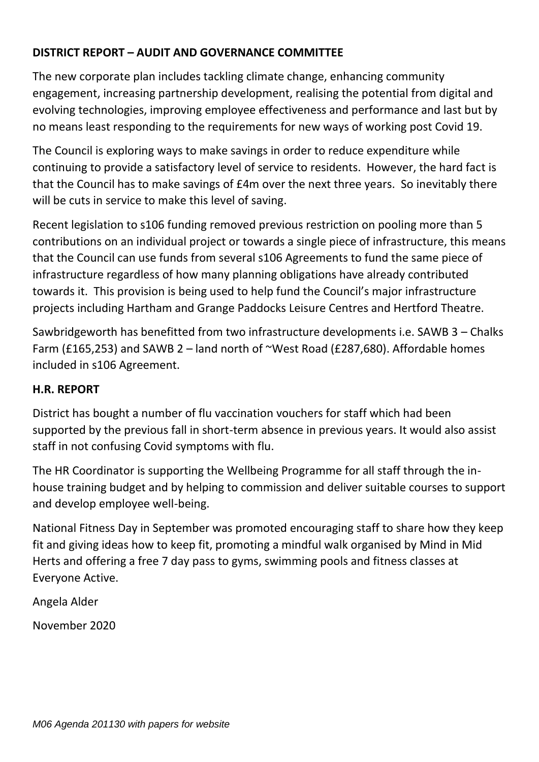# **DISTRICT REPORT – AUDIT AND GOVERNANCE COMMITTEE**

The new corporate plan includes tackling climate change, enhancing community engagement, increasing partnership development, realising the potential from digital and evolving technologies, improving employee effectiveness and performance and last but by no means least responding to the requirements for new ways of working post Covid 19.

The Council is exploring ways to make savings in order to reduce expenditure while continuing to provide a satisfactory level of service to residents. However, the hard fact is that the Council has to make savings of £4m over the next three years. So inevitably there will be cuts in service to make this level of saving.

Recent legislation to s106 funding removed previous restriction on pooling more than 5 contributions on an individual project or towards a single piece of infrastructure, this means that the Council can use funds from several s106 Agreements to fund the same piece of infrastructure regardless of how many planning obligations have already contributed towards it. This provision is being used to help fund the Council's major infrastructure projects including Hartham and Grange Paddocks Leisure Centres and Hertford Theatre.

Sawbridgeworth has benefitted from two infrastructure developments i.e. SAWB 3 – Chalks Farm (£165,253) and SAWB 2 – land north of ~West Road (£287,680). Affordable homes included in s106 Agreement.

# **H.R. REPORT**

District has bought a number of flu vaccination vouchers for staff which had been supported by the previous fall in short-term absence in previous years. It would also assist staff in not confusing Covid symptoms with flu.

The HR Coordinator is supporting the Wellbeing Programme for all staff through the inhouse training budget and by helping to commission and deliver suitable courses to support and develop employee well-being.

National Fitness Day in September was promoted encouraging staff to share how they keep fit and giving ideas how to keep fit, promoting a mindful walk organised by Mind in Mid Herts and offering a free 7 day pass to gyms, swimming pools and fitness classes at Everyone Active.

Angela Alder

November 2020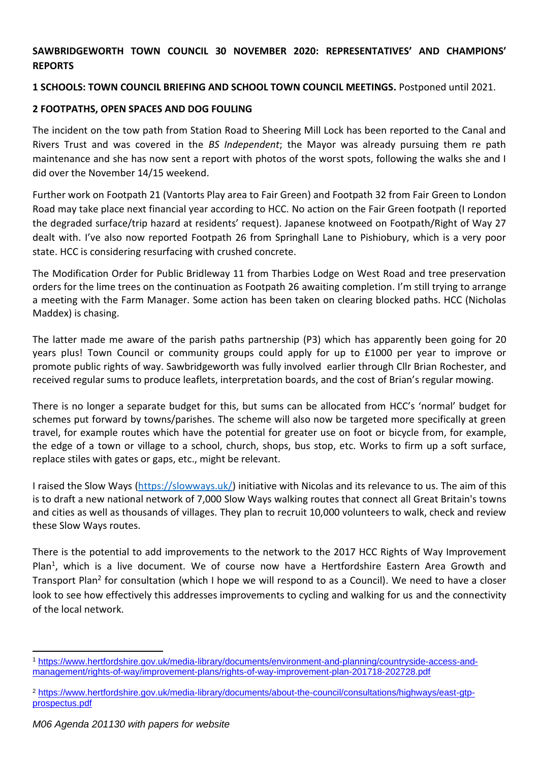### **SAWBRIDGEWORTH TOWN COUNCIL 30 NOVEMBER 2020: REPRESENTATIVES' AND CHAMPIONS' REPORTS**

### **1 SCHOOLS: TOWN COUNCIL BRIEFING AND SCHOOL TOWN COUNCIL MEETINGS.** Postponed until 2021.

### **2 FOOTPATHS, OPEN SPACES AND DOG FOULING**

The incident on the tow path from Station Road to Sheering Mill Lock has been reported to the Canal and Rivers Trust and was covered in the *BS Independent*; the Mayor was already pursuing them re path maintenance and she has now sent a report with photos of the worst spots, following the walks she and I did over the November 14/15 weekend.

Further work on Footpath 21 (Vantorts Play area to Fair Green) and Footpath 32 from Fair Green to London Road may take place next financial year according to HCC. No action on the Fair Green footpath (I reported the degraded surface/trip hazard at residents' request). Japanese knotweed on Footpath/Right of Way 27 dealt with. I've also now reported Footpath 26 from Springhall Lane to Pishiobury, which is a very poor state. HCC is considering resurfacing with crushed concrete.

The Modification Order for Public Bridleway 11 from Tharbies Lodge on West Road and tree preservation orders for the lime trees on the continuation as Footpath 26 awaiting completion. I'm still trying to arrange a meeting with the Farm Manager. Some action has been taken on clearing blocked paths. HCC (Nicholas Maddex) is chasing.

The latter made me aware of the parish paths partnership (P3) which has apparently been going for 20 years plus! Town Council or community groups could apply for up to £1000 per year to improve or promote public rights of way. Sawbridgeworth was fully involved earlier through Cllr Brian Rochester, and received regular sums to produce leaflets, interpretation boards, and the cost of Brian's regular mowing.

There is no longer a separate budget for this, but sums can be allocated from HCC's 'normal' budget for schemes put forward by towns/parishes. The scheme will also now be targeted more specifically at green travel, for example routes which have the potential for greater use on foot or bicycle from, for example, the edge of a town or village to a school, church, shops, bus stop, etc. Works to firm up a soft surface, replace stiles with gates or gaps, etc., might be relevant.

I raised the Slow Ways [\(https://slowways.uk/\)](https://slowways.uk/) initiative with Nicolas and its relevance to us. The aim of this is to draft a new national network of 7,000 Slow Ways walking routes that connect all Great Britain's towns and cities as well as thousands of villages. They plan to recruit 10,000 volunteers to walk, check and review these Slow Ways routes.

There is the potential to add improvements to the network to the 2017 HCC Rights of Way Improvement Plan<sup>1</sup>, which is a live document. We of course now have a Hertfordshire Eastern Area Growth and Transport Plan<sup>2</sup> for consultation (which I hope we will respond to as a Council). We need to have a closer look to see how effectively this addresses improvements to cycling and walking for us and the connectivity of the local network.

<sup>1</sup> [https://www.hertfordshire.gov.uk/media-library/documents/environment-and-planning/countryside-access-and](https://www.hertfordshire.gov.uk/media-library/documents/environment-and-planning/countryside-access-and-management/rights-of-way/improvement-plans/rights-of-way-improvement-plan-201718-202728.pdf)[management/rights-of-way/improvement-plans/rights-of-way-improvement-plan-201718-202728.pdf](https://www.hertfordshire.gov.uk/media-library/documents/environment-and-planning/countryside-access-and-management/rights-of-way/improvement-plans/rights-of-way-improvement-plan-201718-202728.pdf)

<sup>2</sup> [https://www.hertfordshire.gov.uk/media-library/documents/about-the-council/consultations/highways/east-gtp](https://www.hertfordshire.gov.uk/media-library/documents/about-the-council/consultations/highways/east-gtp-prospectus.pdf)[prospectus.pdf](https://www.hertfordshire.gov.uk/media-library/documents/about-the-council/consultations/highways/east-gtp-prospectus.pdf)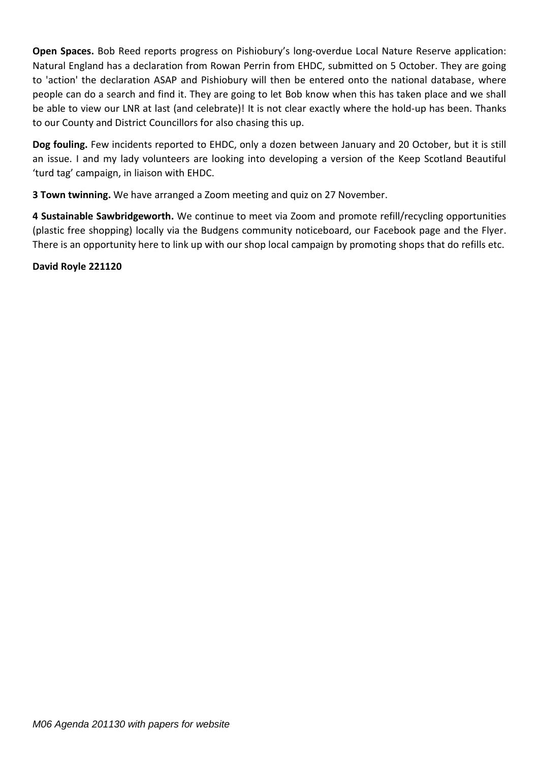**Open Spaces.** Bob Reed reports progress on Pishiobury's long-overdue Local Nature Reserve application: Natural England has a declaration from Rowan Perrin from EHDC, submitted on 5 October. They are going to 'action' the declaration ASAP and Pishiobury will then be entered onto the national database, where people can do a search and find it. They are going to let Bob know when this has taken place and we shall be able to view our LNR at last (and celebrate)! It is not clear exactly where the hold-up has been. Thanks to our County and District Councillors for also chasing this up.

**Dog fouling.** Few incidents reported to EHDC, only a dozen between January and 20 October, but it is still an issue. I and my lady volunteers are looking into developing a version of the Keep Scotland Beautiful 'turd tag' campaign, in liaison with EHDC.

**3 Town twinning.** We have arranged a Zoom meeting and quiz on 27 November.

**4 Sustainable Sawbridgeworth.** We continue to meet via Zoom and promote refill/recycling opportunities (plastic free shopping) locally via the Budgens community noticeboard, our Facebook page and the Flyer. There is an opportunity here to link up with our shop local campaign by promoting shops that do refills etc.

### **David Royle 221120**